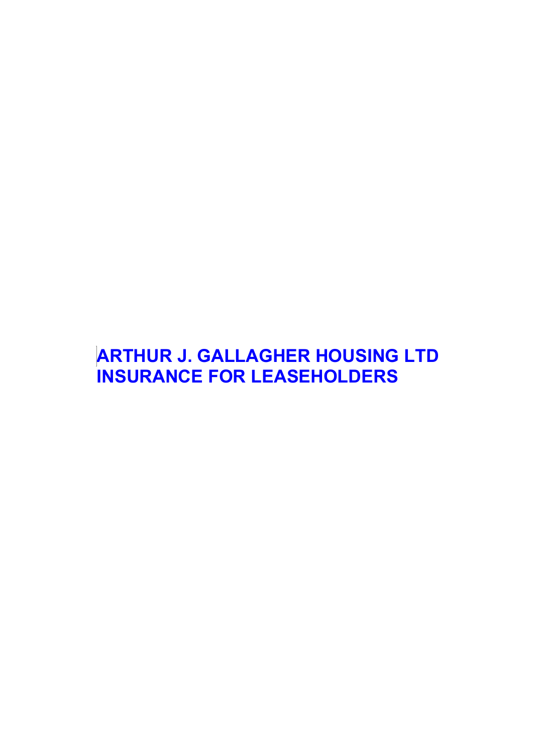# **ARTHUR J. GALLAGHER HOUSING LTD INSURANCE FOR LEASEHOLDERS**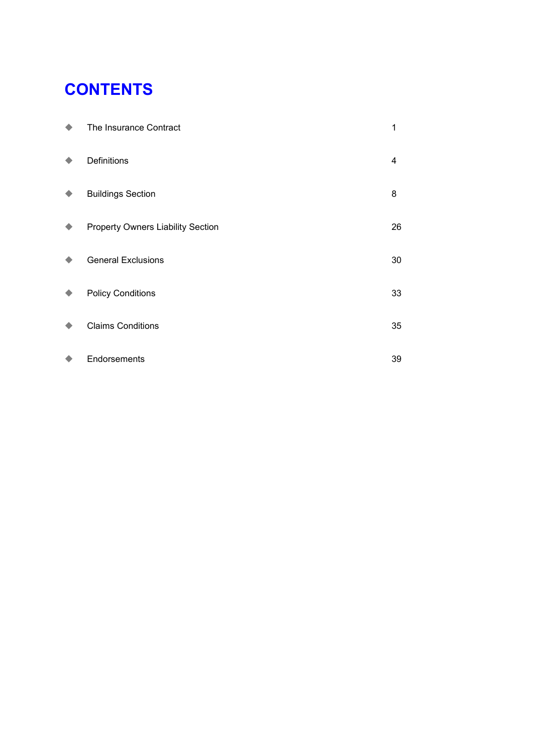# **CONTENTS**

| The Insurance Contract            | 1  |
|-----------------------------------|----|
| Definitions                       | 4  |
| <b>Buildings Section</b>          | 8  |
| Property Owners Liability Section | 26 |
| <b>General Exclusions</b>         | 30 |
| <b>Policy Conditions</b>          | 33 |
| <b>Claims Conditions</b>          | 35 |
| Endorsements                      | 39 |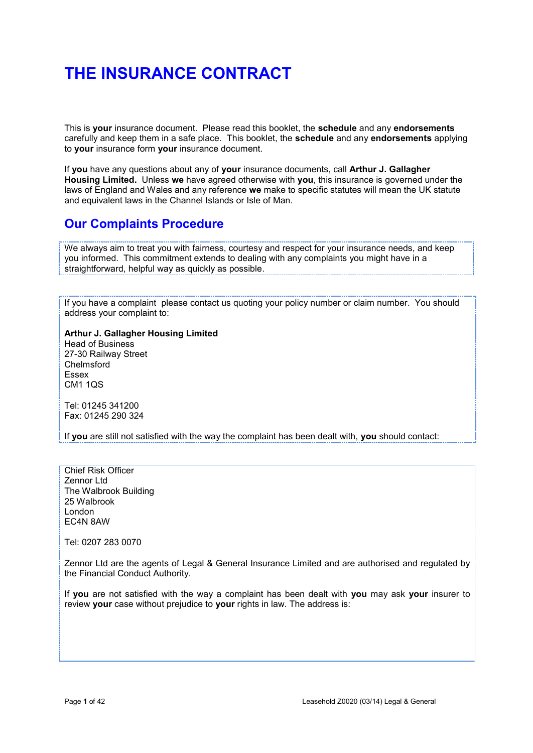# **THE INSURANCE CONTRACT**

This is **your** insurance document. Please read this booklet, the **schedule** and any **endorsements** carefully and keep them in a safe place. This booklet, the **schedule** and any **endorsements** applying to **your** insurance form **your** insurance document.

If **you** have any questions about any of **your** insurance documents, call **Arthur J. Gallagher Housing Limited.** Unless **we** have agreed otherwise with **you**, this insurance is governed under the laws of England and Wales and any reference **we** make to specific statutes will mean the UK statute and equivalent laws in the Channel Islands or Isle of Man.

# **Our Complaints Procedure**

We always aim to treat you with fairness, courtesy and respect for your insurance needs, and keep you informed. This commitment extends to dealing with any complaints you might have in a straightforward, helpful way as quickly as possible.

If you have a complaint please contact us quoting your policy number or claim number. You should address your complaint to:

**Arthur J. Gallagher Housing Limited** Head of Business 27-30 Railway Street Chelmsford Essex CM1 1QS

Tel: 01245 341200 Fax: 01245 290 324

If **you** are still not satisfied with the way the complaint has been dealt with, **you** should contact:

Chief Risk Officer Zennor Ltd The Walbrook Building 25 Walbrook London EC4N 8AW

Tel: 0207 283 0070

Zennor Ltd are the agents of Legal & General Insurance Limited and are authorised and regulated by the Financial Conduct Authority.

If **you** are not satisfied with the way a complaint has been dealt with **you** may ask **your** insurer to review **your** case without prejudice to **your** rights in law. The address is: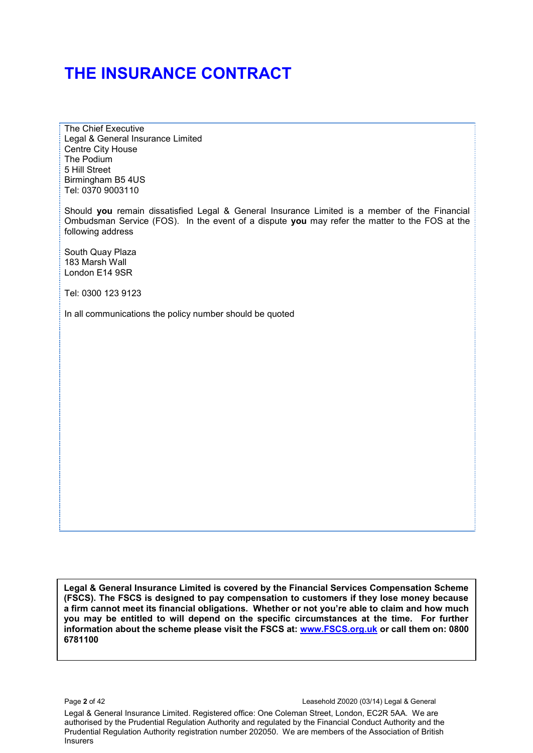# **THE INSURANCE CONTRACT**

The Chief Executive Legal & General Insurance Limited Centre City House The Podium 5 Hill Street Birmingham B5 4US Tel: 0370 9003110

Should **you** remain dissatisfied Legal & General Insurance Limited is a member of the Financial Ombudsman Service (FOS). In the event of a dispute **you** may refer the matter to the FOS at the following address

South Quay Plaza 183 Marsh Wall London E14 9SR

Tel: 0300 123 9123

In all communications the policy number should be quoted

**Legal & General Insurance Limited is covered by the Financial Services Compensation Scheme (FSCS). The FSCS is designed to pay compensation to customers if they lose money because a firm cannot meet its financial obligations. Whether or not you're able to claim and how much you may be entitled to will depend on the specific circumstances at the time. For further information about the scheme please visit the FSCS at: [www.FSCS.org.uk](http://www.fscs.org.uk/) or call them on: 0800 6781100** 

Legal & General Insurance Limited. Registered office: One Coleman Street, London, EC2R 5AA. We are authorised by the Prudential Regulation Authority and regulated by the Financial Conduct Authority and the Prudential Regulation Authority registration number 202050. We are members of the Association of British Insurers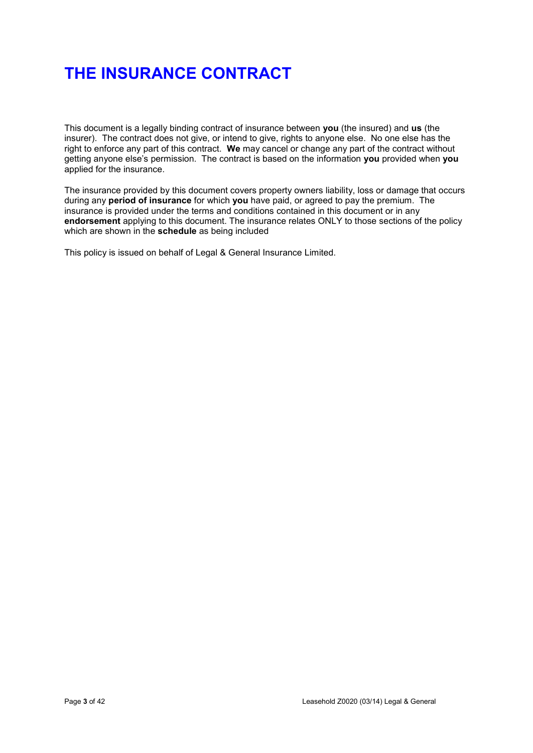# **THE INSURANCE CONTRACT**

This document is a legally binding contract of insurance between **you** (the insured) and **us** (the insurer). The contract does not give, or intend to give, rights to anyone else. No one else has the right to enforce any part of this contract. **We** may cancel or change any part of the contract without getting anyone else's permission. The contract is based on the information **you** provided when **you**  applied for the insurance.

The insurance provided by this document covers property owners liability, loss or damage that occurs during any **period of insurance** for which **you** have paid, or agreed to pay the premium. The insurance is provided under the terms and conditions contained in this document or in any **endorsement** applying to this document. The insurance relates ONLY to those sections of the policy which are shown in the **schedule** as being included

This policy is issued on behalf of Legal & General Insurance Limited.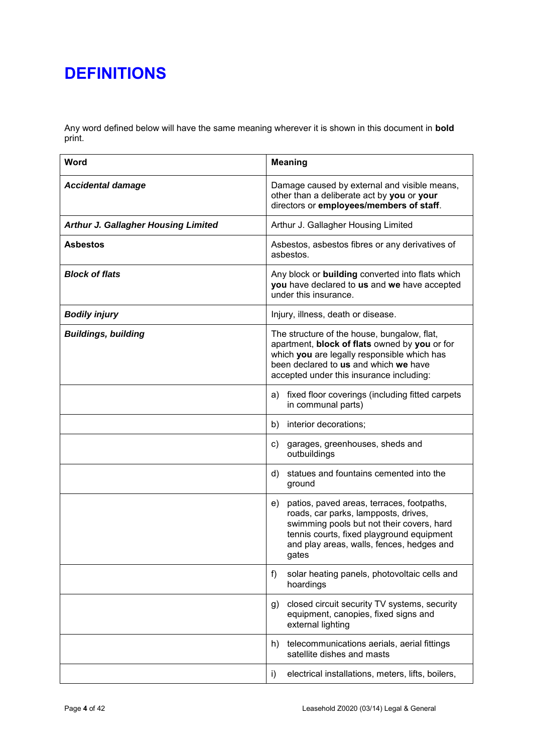Any word defined below will have the same meaning wherever it is shown in this document in **bold** print.

| Word                                       | <b>Meaning</b>                                                                                                                                                                                                                          |
|--------------------------------------------|-----------------------------------------------------------------------------------------------------------------------------------------------------------------------------------------------------------------------------------------|
| <b>Accidental damage</b>                   | Damage caused by external and visible means,<br>other than a deliberate act by you or your<br>directors or employees/members of staff.                                                                                                  |
| <b>Arthur J. Gallagher Housing Limited</b> | Arthur J. Gallagher Housing Limited                                                                                                                                                                                                     |
| <b>Asbestos</b>                            | Asbestos, asbestos fibres or any derivatives of<br>asbestos.                                                                                                                                                                            |
| <b>Block of flats</b>                      | Any block or building converted into flats which<br>you have declared to us and we have accepted<br>under this insurance.                                                                                                               |
| <b>Bodily injury</b>                       | Injury, illness, death or disease.                                                                                                                                                                                                      |
| <b>Buildings, building</b>                 | The structure of the house, bungalow, flat,<br>apartment, block of flats owned by you or for<br>which you are legally responsible which has<br>been declared to us and which we have<br>accepted under this insurance including:        |
|                                            | fixed floor coverings (including fitted carpets<br>a)<br>in communal parts)                                                                                                                                                             |
|                                            | interior decorations;<br>b)                                                                                                                                                                                                             |
|                                            | garages, greenhouses, sheds and<br>C)<br>outbuildings                                                                                                                                                                                   |
|                                            | statues and fountains cemented into the<br>d)<br>ground                                                                                                                                                                                 |
|                                            | patios, paved areas, terraces, footpaths,<br>e)<br>roads, car parks, lampposts, drives,<br>swimming pools but not their covers, hard<br>tennis courts, fixed playground equipment<br>and play areas, walls, fences, hedges and<br>gates |
|                                            | f)<br>solar heating panels, photovoltaic cells and<br>hoardings                                                                                                                                                                         |
|                                            | closed circuit security TV systems, security<br>g)<br>equipment, canopies, fixed signs and<br>external lighting                                                                                                                         |
|                                            | telecommunications aerials, aerial fittings<br>h)<br>satellite dishes and masts                                                                                                                                                         |
|                                            | electrical installations, meters, lifts, boilers,<br>i)                                                                                                                                                                                 |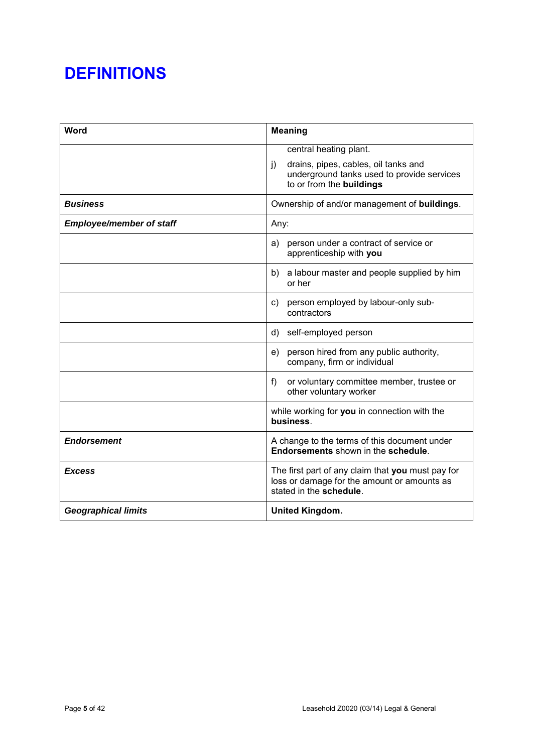| Word                            | <b>Meaning</b>                                                                                                                                           |
|---------------------------------|----------------------------------------------------------------------------------------------------------------------------------------------------------|
|                                 | central heating plant.<br>drains, pipes, cables, oil tanks and<br>$\mathbf{i}$<br>underground tanks used to provide services<br>to or from the buildings |
| <b>Business</b>                 | Ownership of and/or management of buildings.                                                                                                             |
| <b>Employee/member of staff</b> | Any:                                                                                                                                                     |
|                                 | person under a contract of service or<br>a)<br>apprenticeship with you                                                                                   |
|                                 | b) a labour master and people supplied by him<br>or her                                                                                                  |
|                                 | person employed by labour-only sub-<br>C)<br>contractors                                                                                                 |
|                                 | self-employed person<br>d)                                                                                                                               |
|                                 | person hired from any public authority,<br>e)<br>company, firm or individual                                                                             |
|                                 | or voluntary committee member, trustee or<br>f)<br>other voluntary worker                                                                                |
|                                 | while working for you in connection with the<br>business.                                                                                                |
| <b>Endorsement</b>              | A change to the terms of this document under<br>Endorsements shown in the schedule.                                                                      |
| <b>Excess</b>                   | The first part of any claim that you must pay for<br>loss or damage for the amount or amounts as<br>stated in the schedule.                              |
| <b>Geographical limits</b>      | <b>United Kingdom.</b>                                                                                                                                   |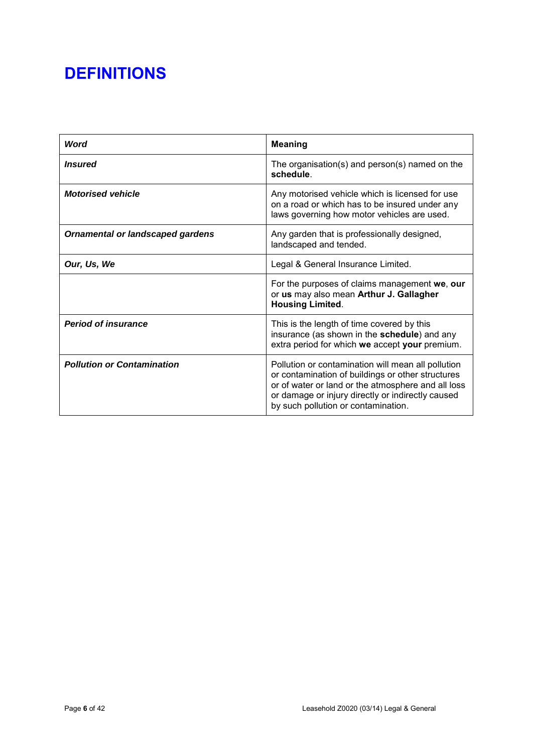| Word                                    | <b>Meaning</b>                                                                                                                                                                                                                                            |
|-----------------------------------------|-----------------------------------------------------------------------------------------------------------------------------------------------------------------------------------------------------------------------------------------------------------|
| <i><b>Insured</b></i>                   | The organisation(s) and $person(s)$ named on the<br>schedule                                                                                                                                                                                              |
| <b>Motorised vehicle</b>                | Any motorised vehicle which is licensed for use<br>on a road or which has to be insured under any<br>laws governing how motor vehicles are used.                                                                                                          |
| <b>Ornamental or landscaped gardens</b> | Any garden that is professionally designed,<br>landscaped and tended.                                                                                                                                                                                     |
| Our, Us, We                             | Legal & General Insurance Limited.                                                                                                                                                                                                                        |
|                                         | For the purposes of claims management we, our<br>or us may also mean Arthur J. Gallagher<br><b>Housing Limited.</b>                                                                                                                                       |
| <b>Period of insurance</b>              | This is the length of time covered by this<br>insurance (as shown in the schedule) and any<br>extra period for which we accept your premium.                                                                                                              |
| <b>Pollution or Contamination</b>       | Pollution or contamination will mean all pollution<br>or contamination of buildings or other structures<br>or of water or land or the atmosphere and all loss<br>or damage or injury directly or indirectly caused<br>by such pollution or contamination. |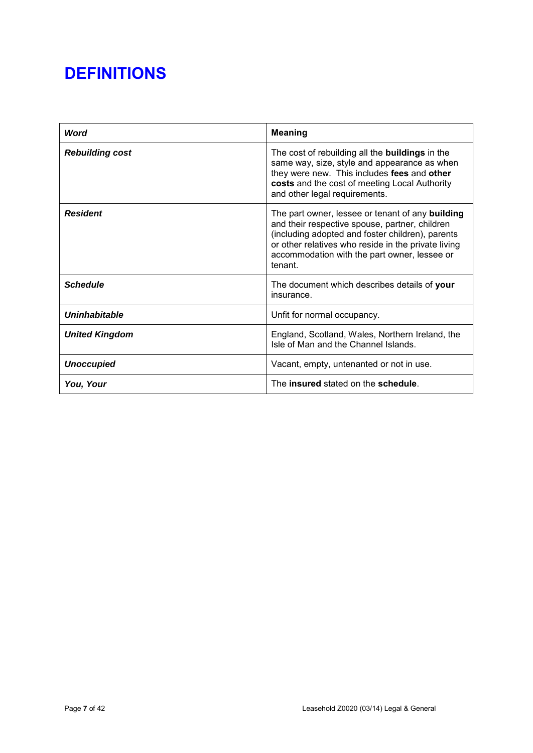| <b>Word</b>            | <b>Meaning</b>                                                                                                                                                                                                                                                           |
|------------------------|--------------------------------------------------------------------------------------------------------------------------------------------------------------------------------------------------------------------------------------------------------------------------|
| <b>Rebuilding cost</b> | The cost of rebuilding all the <b>buildings</b> in the<br>same way, size, style and appearance as when<br>they were new. This includes fees and other<br>costs and the cost of meeting Local Authority<br>and other legal requirements.                                  |
| <b>Resident</b>        | The part owner, lessee or tenant of any building<br>and their respective spouse, partner, children<br>(including adopted and foster children), parents<br>or other relatives who reside in the private living<br>accommodation with the part owner, lessee or<br>tenant. |
| <b>Schedule</b>        | The document which describes details of your<br>insurance.                                                                                                                                                                                                               |
| Uninhabitable          | Unfit for normal occupancy.                                                                                                                                                                                                                                              |
| <b>United Kingdom</b>  | England, Scotland, Wales, Northern Ireland, the<br>Isle of Man and the Channel Islands.                                                                                                                                                                                  |
| <b>Unoccupied</b>      | Vacant, empty, untenanted or not in use.                                                                                                                                                                                                                                 |
| You, Your              | The insured stated on the schedule.                                                                                                                                                                                                                                      |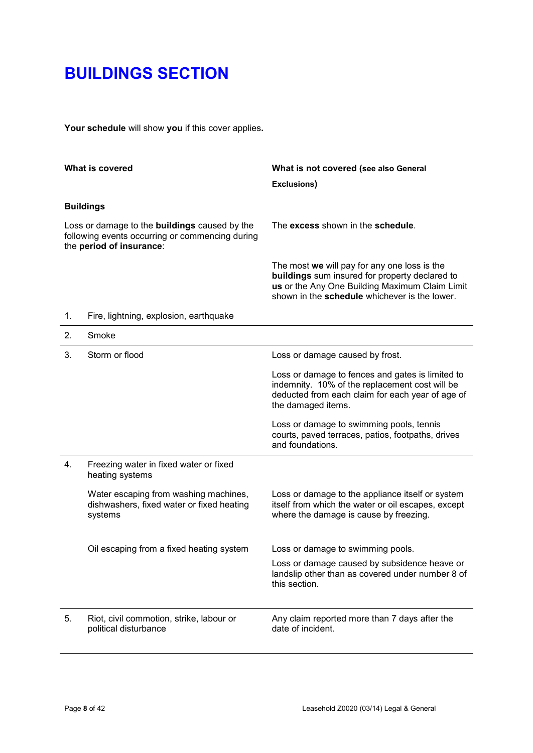**Your schedule** will show **you** if this cover applies**.** 

|                                                                                                                                     | What is covered                                                                               | What is not covered (see also General<br>Exclusions)                                                                                                                                              |
|-------------------------------------------------------------------------------------------------------------------------------------|-----------------------------------------------------------------------------------------------|---------------------------------------------------------------------------------------------------------------------------------------------------------------------------------------------------|
|                                                                                                                                     | <b>Buildings</b>                                                                              |                                                                                                                                                                                                   |
| Loss or damage to the <b>buildings</b> caused by the<br>following events occurring or commencing during<br>the period of insurance: |                                                                                               | The excess shown in the schedule.                                                                                                                                                                 |
|                                                                                                                                     |                                                                                               | The most we will pay for any one loss is the<br>buildings sum insured for property declared to<br>us or the Any One Building Maximum Claim Limit<br>shown in the schedule whichever is the lower. |
| 1.                                                                                                                                  | Fire, lightning, explosion, earthquake                                                        |                                                                                                                                                                                                   |
| 2.                                                                                                                                  | Smoke                                                                                         |                                                                                                                                                                                                   |
| 3.                                                                                                                                  | Storm or flood                                                                                | Loss or damage caused by frost.                                                                                                                                                                   |
|                                                                                                                                     |                                                                                               | Loss or damage to fences and gates is limited to<br>indemnity. 10% of the replacement cost will be<br>deducted from each claim for each year of age of<br>the damaged items.                      |
|                                                                                                                                     |                                                                                               | Loss or damage to swimming pools, tennis<br>courts, paved terraces, patios, footpaths, drives<br>and foundations.                                                                                 |
| 4.                                                                                                                                  | Freezing water in fixed water or fixed<br>heating systems                                     |                                                                                                                                                                                                   |
|                                                                                                                                     | Water escaping from washing machines,<br>dishwashers, fixed water or fixed heating<br>systems | Loss or damage to the appliance itself or system<br>itself from which the water or oil escapes, except<br>where the damage is cause by freezing.                                                  |
|                                                                                                                                     | Oil escaping from a fixed heating system                                                      | Loss or damage to swimming pools.                                                                                                                                                                 |
|                                                                                                                                     |                                                                                               | Loss or damage caused by subsidence heave or<br>landslip other than as covered under number 8 of<br>this section.                                                                                 |
| 5.                                                                                                                                  | Riot, civil commotion, strike, labour or<br>political disturbance                             | Any claim reported more than 7 days after the<br>date of incident.                                                                                                                                |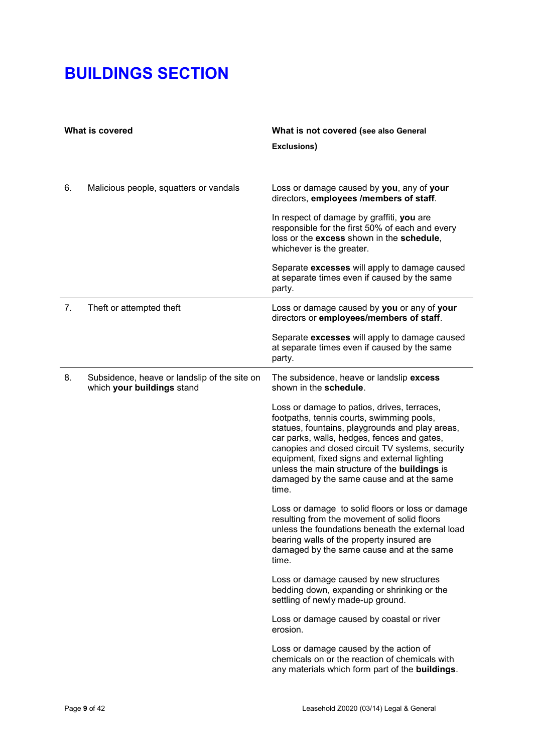| What is covered |                                                                            | What is not covered (see also General<br><b>Exclusions)</b>                                                                                                                                                                                                                                                                                                                                                  |
|-----------------|----------------------------------------------------------------------------|--------------------------------------------------------------------------------------------------------------------------------------------------------------------------------------------------------------------------------------------------------------------------------------------------------------------------------------------------------------------------------------------------------------|
| 6.              | Malicious people, squatters or vandals                                     | Loss or damage caused by you, any of your<br>directors, employees /members of staff.                                                                                                                                                                                                                                                                                                                         |
|                 |                                                                            | In respect of damage by graffiti, you are<br>responsible for the first 50% of each and every<br>loss or the excess shown in the schedule,<br>whichever is the greater.                                                                                                                                                                                                                                       |
|                 |                                                                            | Separate excesses will apply to damage caused<br>at separate times even if caused by the same<br>party.                                                                                                                                                                                                                                                                                                      |
| 7.              | Theft or attempted theft                                                   | Loss or damage caused by you or any of your<br>directors or employees/members of staff.                                                                                                                                                                                                                                                                                                                      |
|                 |                                                                            | Separate excesses will apply to damage caused<br>at separate times even if caused by the same<br>party.                                                                                                                                                                                                                                                                                                      |
| 8.              | Subsidence, heave or landslip of the site on<br>which your buildings stand | The subsidence, heave or landslip excess<br>shown in the schedule.                                                                                                                                                                                                                                                                                                                                           |
|                 |                                                                            | Loss or damage to patios, drives, terraces,<br>footpaths, tennis courts, swimming pools,<br>statues, fountains, playgrounds and play areas,<br>car parks, walls, hedges, fences and gates,<br>canopies and closed circuit TV systems, security<br>equipment, fixed signs and external lighting<br>unless the main structure of the <b>buildings</b> is<br>damaged by the same cause and at the same<br>time. |
|                 |                                                                            | Loss or damage to solid floors or loss or damage<br>resulting from the movement of solid floors<br>unless the foundations beneath the external load<br>bearing walls of the property insured are<br>damaged by the same cause and at the same<br>time.                                                                                                                                                       |
|                 |                                                                            | Loss or damage caused by new structures<br>bedding down, expanding or shrinking or the<br>settling of newly made-up ground.                                                                                                                                                                                                                                                                                  |
|                 |                                                                            | Loss or damage caused by coastal or river<br>erosion.                                                                                                                                                                                                                                                                                                                                                        |
|                 |                                                                            | Loss or damage caused by the action of<br>chemicals on or the reaction of chemicals with<br>any materials which form part of the buildings.                                                                                                                                                                                                                                                                  |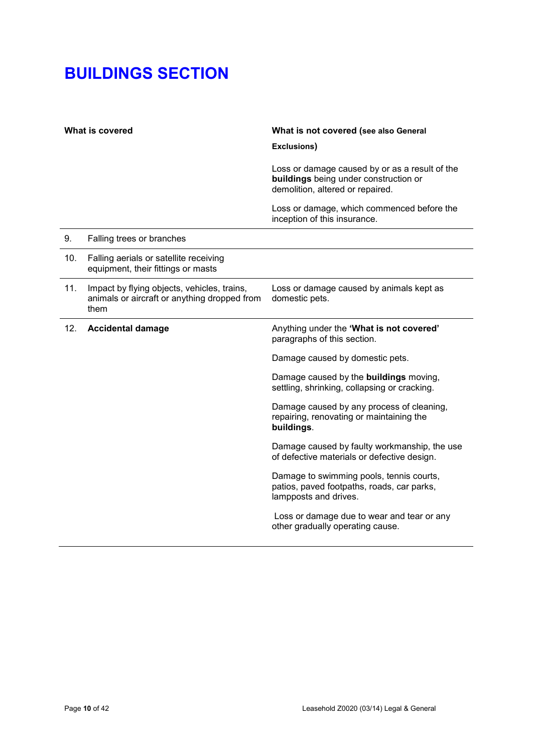| What is covered |                                                                                                     | What is not covered (see also General<br><b>Exclusions)</b>                                                                 |
|-----------------|-----------------------------------------------------------------------------------------------------|-----------------------------------------------------------------------------------------------------------------------------|
|                 |                                                                                                     | Loss or damage caused by or as a result of the<br>buildings being under construction or<br>demolition, altered or repaired. |
|                 |                                                                                                     | Loss or damage, which commenced before the<br>inception of this insurance.                                                  |
| 9.              | Falling trees or branches                                                                           |                                                                                                                             |
| 10.             | Falling aerials or satellite receiving<br>equipment, their fittings or masts                        |                                                                                                                             |
| 11.             | Impact by flying objects, vehicles, trains,<br>animals or aircraft or anything dropped from<br>them | Loss or damage caused by animals kept as<br>domestic pets.                                                                  |
| 12.             | <b>Accidental damage</b>                                                                            | Anything under the 'What is not covered'<br>paragraphs of this section.                                                     |
|                 |                                                                                                     | Damage caused by domestic pets.                                                                                             |
|                 |                                                                                                     | Damage caused by the <b>buildings</b> moving,<br>settling, shrinking, collapsing or cracking.                               |
|                 |                                                                                                     | Damage caused by any process of cleaning,<br>repairing, renovating or maintaining the<br>buildings.                         |
|                 |                                                                                                     | Damage caused by faulty workmanship, the use<br>of defective materials or defective design.                                 |
|                 |                                                                                                     | Damage to swimming pools, tennis courts,<br>patios, paved footpaths, roads, car parks,<br>lampposts and drives.             |
|                 |                                                                                                     | Loss or damage due to wear and tear or any<br>other gradually operating cause.                                              |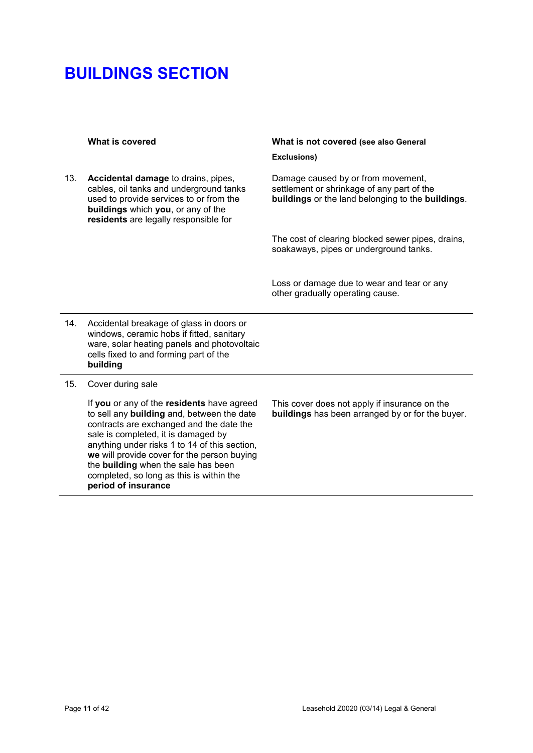13. **Accidental damage** to drains, pipes, cables, oil tanks and underground tanks used to provide services to or from the **buildings** which **you**, or any of the **residents** are legally responsible for

## **What is covered What is not covered (see also General Exclusions)**

Damage caused by or from movement, settlement or shrinkage of any part of the **buildings** or the land belonging to the **buildings**.

The cost of clearing blocked sewer pipes, drains, soakaways, pipes or underground tanks.

Loss or damage due to wear and tear or any other gradually operating cause.

- 14. Accidental breakage of glass in doors or windows, ceramic hobs if fitted, sanitary ware, solar heating panels and photovoltaic cells fixed to and forming part of the **building**
- 15. Cover during sale

If **you** or any of the **residents** have agreed to sell any **building** and, between the date contracts are exchanged and the date the sale is completed, it is damaged by anything under risks 1 to 14 of this section, **we** will provide cover for the person buying the **building** when the sale has been completed, so long as this is within the **period of insurance**

This cover does not apply if insurance on the **buildings** has been arranged by or for the buyer.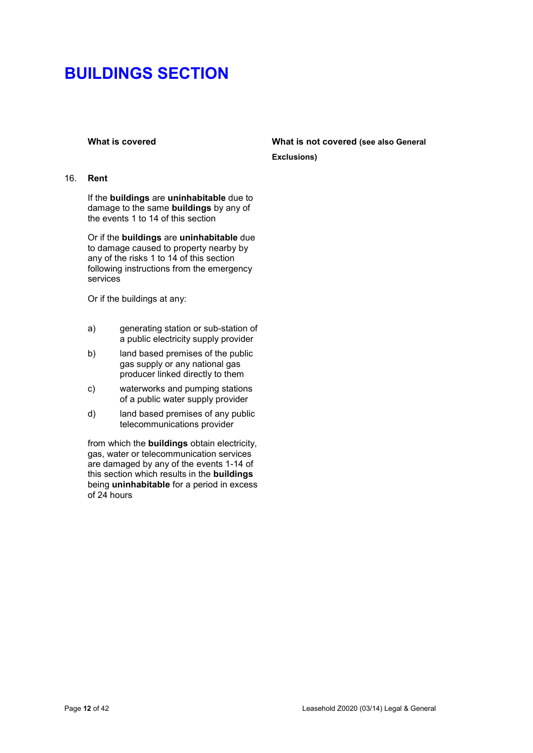### 16. **Rent**

If the **buildings** are **uninhabitable** due to damage to the same **buildings** by any of the events 1 to 14 of this section

Or if the **buildings** are **uninhabitable** due to damage caused to property nearby by any of the risks 1 to 14 of this section following instructions from the emergency services

Or if the buildings at any:

- a) generating station or sub-station of a public electricity supply provider
- b) land based premises of the public gas supply or any national gas producer linked directly to them
- c) waterworks and pumping stations of a public water supply provider
- d) land based premises of any public telecommunications provider

from which the **buildings** obtain electricity, gas, water or telecommunication services are damaged by any of the events 1-14 of this section which results in the **buildings** being **uninhabitable** for a period in excess of 24 hours

## **What is covered What is not covered (see also General Exclusions)**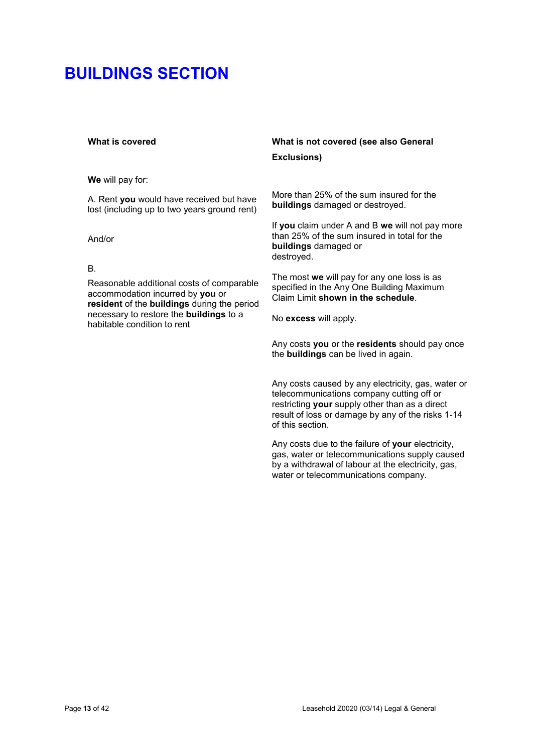**We** will pay for:

A. Rent **you** would have received but have lost (including up to two years ground rent)

And/or

## B.

Reasonable additional costs of comparable accommodation incurred by **you** or **resident** of the **buildings** during the period necessary to restore the **buildings** to a habitable condition to rent

# **What is covered What is not covered (see also General Exclusions)**

More than 25% of the sum insured for the **buildings** damaged or destroyed.

If **you** claim under A and B **we** will not pay more than 25% of the sum insured in total for the **buildings** damaged or destroyed.

The most **we** will pay for any one loss is as specified in the Any One Building Maximum Claim Limit **shown in the schedule**.

No **excess** will apply.

Any costs **you** or the **residents** should pay once the **buildings** can be lived in again.

Any costs caused by any electricity, gas, water or telecommunications company cutting off or restricting **your** supply other than as a direct result of loss or damage by any of the risks 1-14 of this section.

Any costs due to the failure of **your** electricity, gas, water or telecommunications supply caused by a withdrawal of labour at the electricity, gas, water or telecommunications company.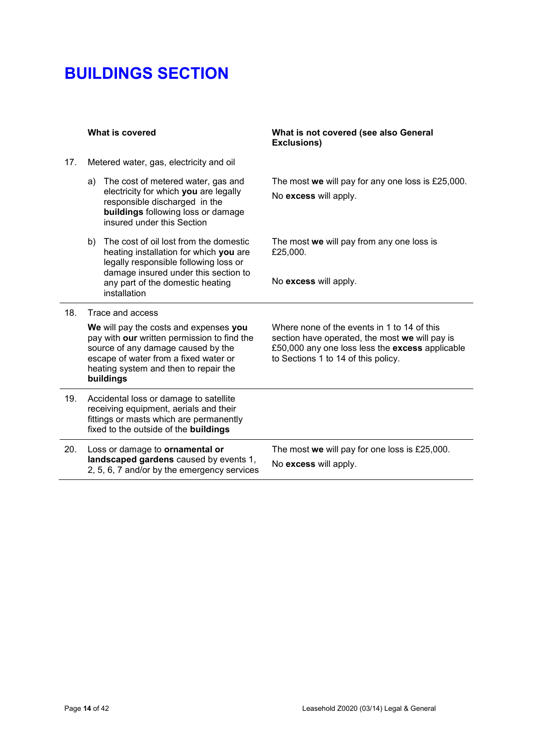|     | What is covered                                                                                                                                                                                                            | What is not covered (see also General<br><b>Exclusions)</b>                                                                                                                             |
|-----|----------------------------------------------------------------------------------------------------------------------------------------------------------------------------------------------------------------------------|-----------------------------------------------------------------------------------------------------------------------------------------------------------------------------------------|
| 17. | Metered water, gas, electricity and oil                                                                                                                                                                                    |                                                                                                                                                                                         |
|     | The cost of metered water, gas and<br>a)<br>electricity for which you are legally<br>responsible discharged in the<br>buildings following loss or damage<br>insured under this Section                                     | The most we will pay for any one loss is £25,000.<br>No excess will apply.                                                                                                              |
|     | The cost of oil lost from the domestic<br>b)<br>heating installation for which you are<br>legally responsible following loss or<br>damage insured under this section to                                                    | The most we will pay from any one loss is<br>£25,000.                                                                                                                                   |
|     | any part of the domestic heating<br>installation                                                                                                                                                                           | No excess will apply.                                                                                                                                                                   |
| 18. | Trace and access                                                                                                                                                                                                           |                                                                                                                                                                                         |
|     | We will pay the costs and expenses you<br>pay with our written permission to find the<br>source of any damage caused by the<br>escape of water from a fixed water or<br>heating system and then to repair the<br>buildings | Where none of the events in 1 to 14 of this<br>section have operated, the most we will pay is<br>£50,000 any one loss less the excess applicable<br>to Sections 1 to 14 of this policy. |
| 19. | Accidental loss or damage to satellite<br>receiving equipment, aerials and their<br>fittings or masts which are permanently<br>fixed to the outside of the buildings                                                       |                                                                                                                                                                                         |
| 20. | Loss or damage to ornamental or<br>landscaped gardens caused by events 1,<br>2, 5, 6, 7 and/or by the emergency services                                                                                                   | The most we will pay for one loss is £25,000.<br>No excess will apply.                                                                                                                  |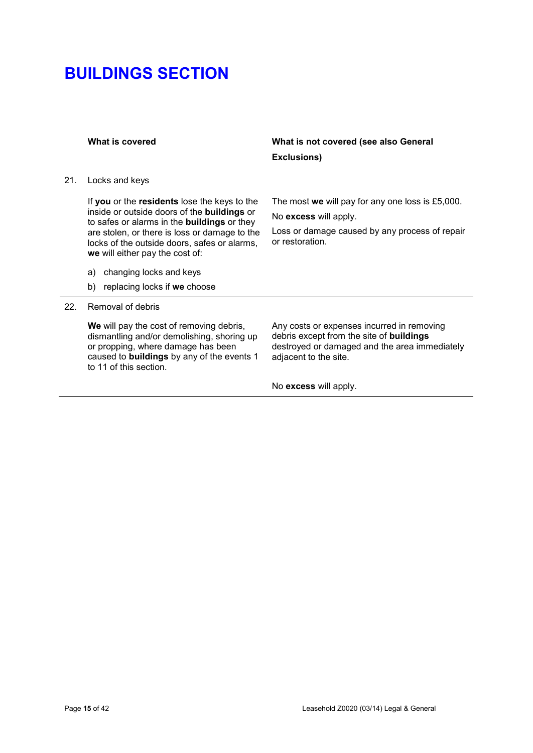21. Locks and keys

If **you** or the **residents** lose the keys to the inside or outside doors of the **buildings** or to safes or alarms in the **buildings** or they are stolen, or there is loss or damage to the locks of the outside doors, safes or alarms, **we** will either pay the cost of:

- a) changing locks and keys
- b) replacing locks if **we** choose

### 22. Removal of debris

**We** will pay the cost of removing debris, dismantling and/or demolishing, shoring up or propping, where damage has been caused to **buildings** by any of the events 1 to 11 of this section.

**What is covered What is not covered (see also General Exclusions)**

The most **we** will pay for any one loss is £5,000.

No **excess** will apply.

Loss or damage caused by any process of repair or restoration.

Any costs or expenses incurred in removing debris except from the site of **buildings** destroyed or damaged and the area immediately adjacent to the site.

No **excess** will apply.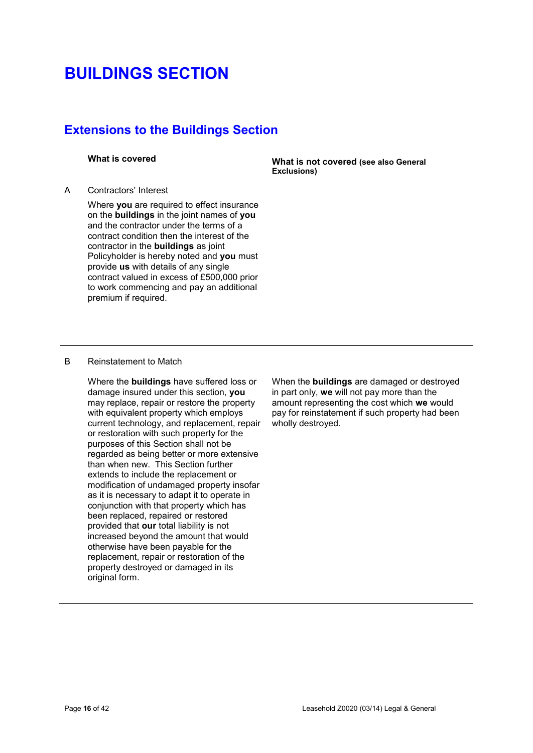# **Extensions to the Buildings Section**

### A Contractors' Interest

Where **you** are required to effect insurance on the **buildings** in the joint names of **you** and the contractor under the terms of a contract condition then the interest of the contractor in the **buildings** as joint Policyholder is hereby noted and **you** must provide **us** with details of any single contract valued in excess of £500,000 prior to work commencing and pay an additional premium if required.

**What is covered What is not covered (see also General Exclusions)**

## B Reinstatement to Match

Where the **buildings** have suffered loss or damage insured under this section, **you** may replace, repair or restore the property with equivalent property which employs current technology, and replacement, repair or restoration with such property for the purposes of this Section shall not be regarded as being better or more extensive than when new. This Section further extends to include the replacement or modification of undamaged property insofar as it is necessary to adapt it to operate in conjunction with that property which has been replaced, repaired or restored provided that **our** total liability is not increased beyond the amount that would otherwise have been payable for the replacement, repair or restoration of the property destroyed or damaged in its original form.

When the **buildings** are damaged or destroyed in part only, **we** will not pay more than the amount representing the cost which **we** would pay for reinstatement if such property had been wholly destroyed.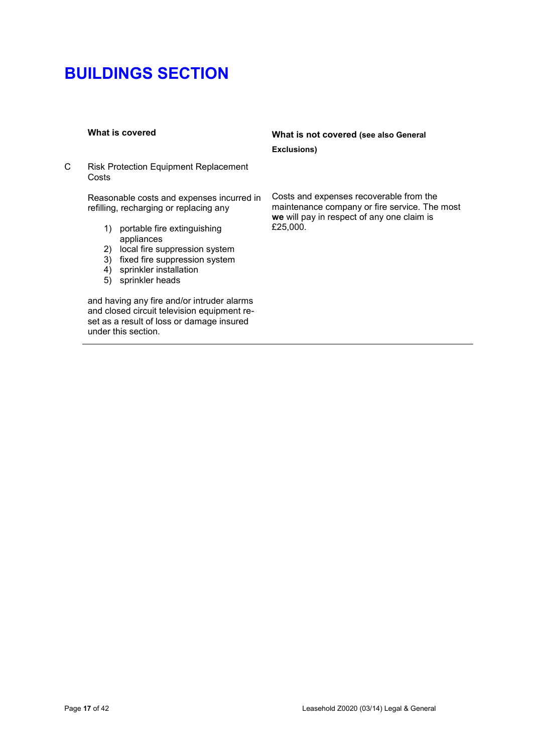C Risk Protection Equipment Replacement Costs

> Reasonable costs and expenses incurred in refilling, recharging or replacing any

- 1) portable fire extinguishing appliances
- 2) local fire suppression system
- 3) fixed fire suppression system
- 4) sprinkler installation
- 5) sprinkler heads

and having any fire and/or intruder alarms and closed circuit television equipment reset as a result of loss or damage insured under this section.

# **What is covered What is not covered (see also General Exclusions)**

Costs and expenses recoverable from the maintenance company or fire service. The most **we** will pay in respect of any one claim is £25,000.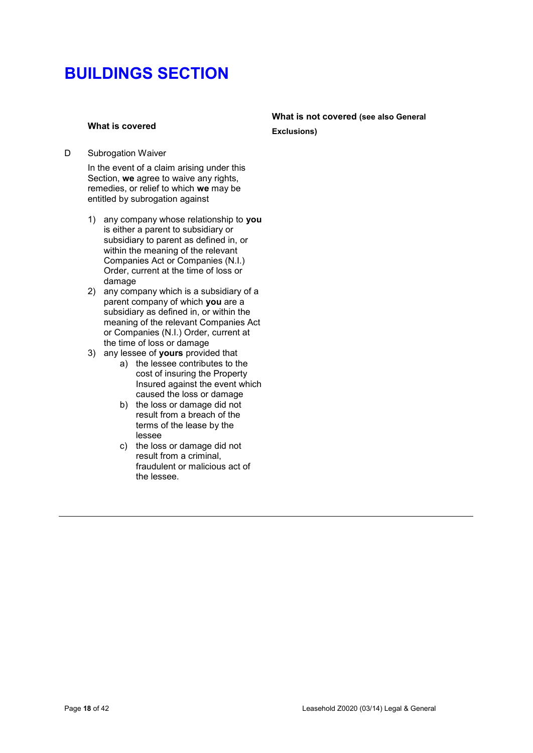## **What is covered**

## D Subrogation Waiver

In the event of a claim arising under this Section, **we** agree to waive any rights, remedies, or relief to which **we** may be entitled by subrogation against

- 1) any company whose relationship to **you** is either a parent to subsidiary or subsidiary to parent as defined in, or within the meaning of the relevant Companies Act or Companies (N.I.) Order, current at the time of loss or damage
- 2) any company which is a subsidiary of a parent company of which **you** are a subsidiary as defined in, or within the meaning of the relevant Companies Act or Companies (N.I.) Order, current at the time of loss or damage
- 3) any lessee of **yours** provided that
	- a) the lessee contributes to the cost of insuring the Property Insured against the event which caused the loss or damage
	- b) the loss or damage did not result from a breach of the terms of the lease by the lessee
	- c) the loss or damage did not result from a criminal, fraudulent or malicious act of the lessee.

## **What is not covered (see also General Exclusions)**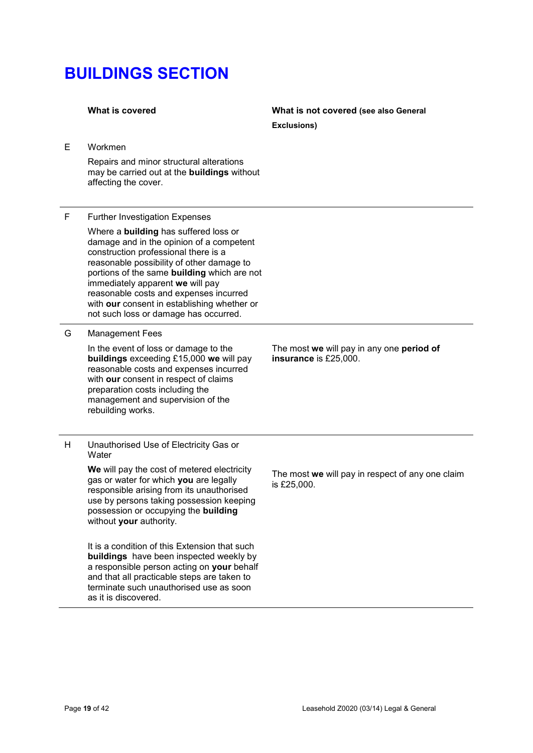**What is covered What is not covered (see also General Exclusions)**

E Workmen

Repairs and minor structural alterations may be carried out at the **buildings** without affecting the cover.

### F Further Investigation Expenses

Where a **building** has suffered loss or damage and in the opinion of a competent construction professional there is a reasonable possibility of other damage to portions of the same **building** which are not immediately apparent **we** will pay reasonable costs and expenses incurred with **our** consent in establishing whether or not such loss or damage has occurred.

## G Management Fees

In the event of loss or damage to the **buildings** exceeding £15,000 **we** will pay reasonable costs and expenses incurred with **our** consent in respect of claims preparation costs including the management and supervision of the rebuilding works.

The most **we** will pay in any one **period of insurance** is £25,000.

H Unauthorised Use of Electricity Gas or **Water** 

> **We** will pay the cost of metered electricity gas or water for which **you** are legally responsible arising from its unauthorised use by persons taking possession keeping possession or occupying the **building** without **your** authority.

It is a condition of this Extension that such **buildings** have been inspected weekly by a responsible person acting on **your** behalf and that all practicable steps are taken to terminate such unauthorised use as soon as it is discovered.

The most **we** will pay in respect of any one claim is £25,000.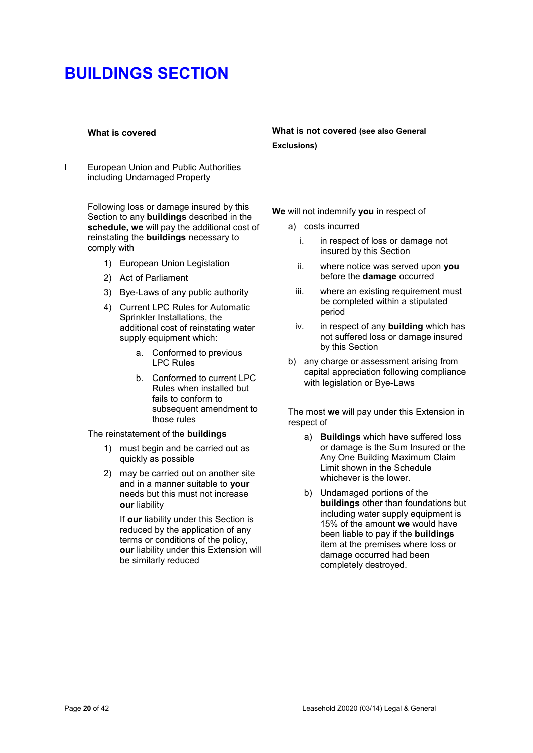I European Union and Public Authorities including Undamaged Property

> Following loss or damage insured by this Section to any **buildings** described in the **schedule, we** will pay the additional cost of reinstating the **buildings** necessary to comply with

- 1) European Union Legislation
- 2) Act of Parliament
- 3) Bye-Laws of any public authority
- 4) Current LPC Rules for Automatic Sprinkler Installations, the additional cost of reinstating water supply equipment which:
	- a. Conformed to previous LPC Rules
	- b. Conformed to current LPC Rules when installed but fails to conform to subsequent amendment to those rules

### The reinstatement of the **buildings**

- 1) must begin and be carried out as quickly as possible
- 2) may be carried out on another site and in a manner suitable to **your**  needs but this must not increase **our** liability

If **our** liability under this Section is reduced by the application of any terms or conditions of the policy, **our** liability under this Extension will be similarly reduced

## **What is covered What is not covered (see also General Exclusions)**

- **We** will not indemnify **you** in respect of
	- a) costs incurred
		- i. in respect of loss or damage not insured by this Section
		- ii. where notice was served upon **you** before the **damage** occurred
		- iii. where an existing requirement must be completed within a stipulated period
		- iv. in respect of any **building** which has not suffered loss or damage insured by this Section
	- b) any charge or assessment arising from capital appreciation following compliance with legislation or Bye-Laws

The most **we** will pay under this Extension in respect of

- a) **Buildings** which have suffered loss or damage is the Sum Insured or the Any One Building Maximum Claim Limit shown in the Schedule whichever is the lower.
- b) Undamaged portions of the **buildings** other than foundations but including water supply equipment is 15% of the amount **we** would have been liable to pay if the **buildings**  item at the premises where loss or damage occurred had been completely destroyed.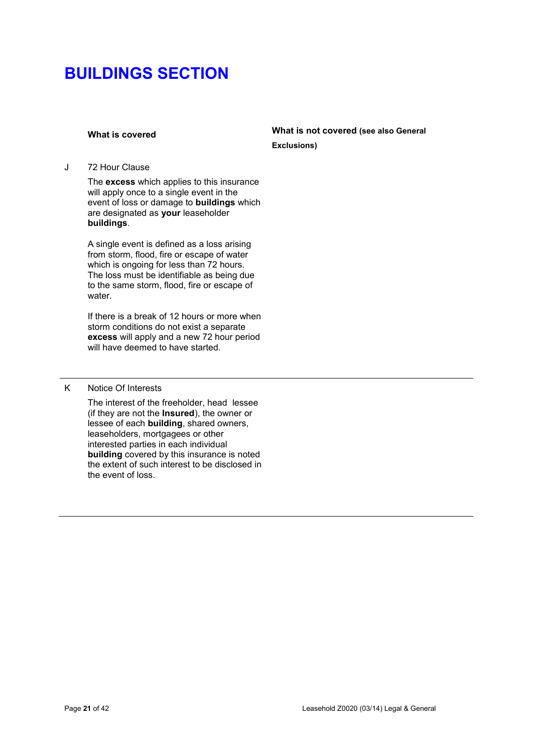## **What is covered What is not covered (see also General Exclusions)**

J 72 Hour Clause

The **excess** which applies to this insurance will apply once to a single event in the event of loss or damage to **buildings** which are designated as **your** leaseholder **buildings**.

A single event is defined as a loss arising from storm, flood, fire or escape of water which is ongoing for less than 72 hours. The loss must be identifiable as being due to the same storm, flood, fire or escape of water.

If there is a break of 12 hours or more when storm conditions do not exist a separate **excess** will apply and a new 72 hour period will have deemed to have started.

### K Notice Of Interests

The interest of the freeholder, head lessee (if they are not the **Insured**), the owner or lessee of each **building**, shared owners, leaseholders, mortgagees or other interested parties in each individual **building** covered by this insurance is noted the extent of such interest to be disclosed in the event of loss.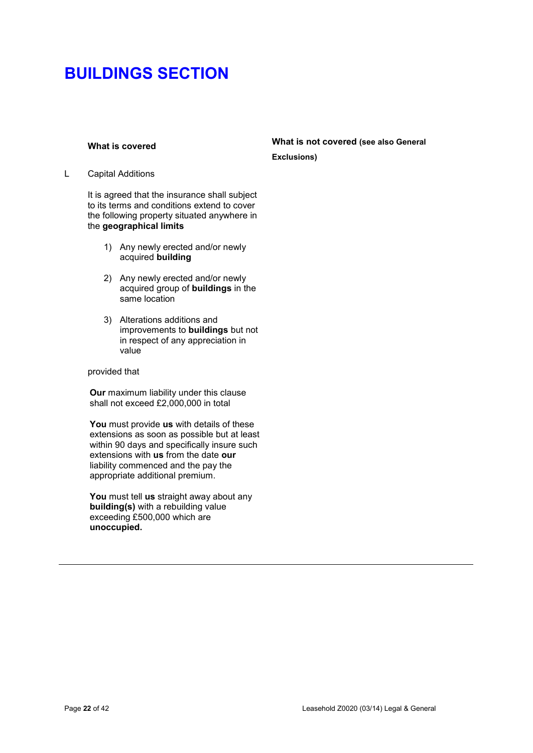L Capital Additions

It is agreed that the insurance shall subject to its terms and conditions extend to cover the following property situated anywhere in the **geographical limits**

- 1) Any newly erected and/or newly acquired **building**
- 2) Any newly erected and/or newly acquired group of **buildings** in the same location
- 3) Alterations additions and improvements to **buildings** but not in respect of any appreciation in value

### provided that

**Our** maximum liability under this clause shall not exceed £2,000,000 in total

**You** must provide **us** with details of these extensions as soon as possible but at least within 90 days and specifically insure such extensions with **us** from the date **our**  liability commenced and the pay the appropriate additional premium.

**You** must tell **us** straight away about any **building(s)** with a rebuilding value exceeding £500,000 which are **unoccupied.**

## **What is covered What is not covered (see also General Exclusions)**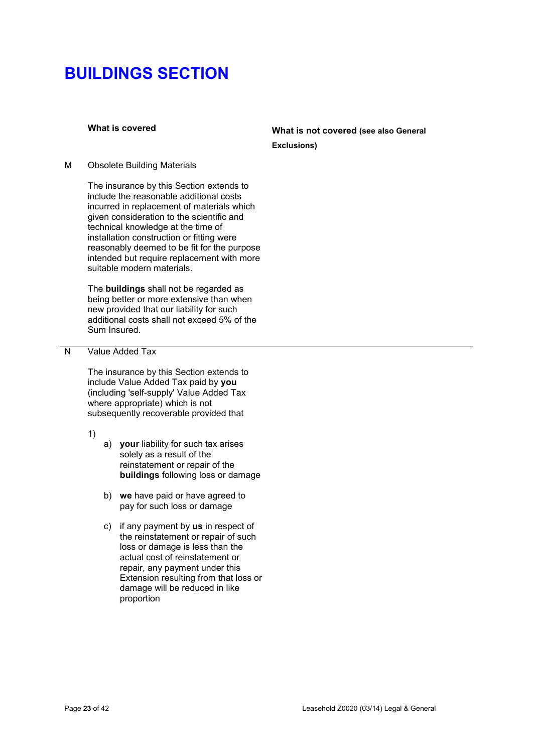# **What is covered What is not covered (see also General Exclusions)**

M Obsolete Building Materials

The insurance by this Section extends to include the reasonable additional costs incurred in replacement of materials which given consideration to the scientific and technical knowledge at the time of installation construction or fitting were reasonably deemed to be fit for the purpose intended but require replacement with more suitable modern materials.

The **buildings** shall not be regarded as being better or more extensive than when new provided that our liability for such additional costs shall not exceed 5% of the Sum Insured.

## N Value Added Tax

The insurance by this Section extends to include Value Added Tax paid by **you** (including 'self-supply' Value Added Tax where appropriate) which is not subsequently recoverable provided that

1)

- a) **your** liability for such tax arises solely as a result of the reinstatement or repair of the **buildings** following loss or damage
- b) **we** have paid or have agreed to pay for such loss or damage
- c) if any payment by **us** in respect of the reinstatement or repair of such loss or damage is less than the actual cost of reinstatement or repair, any payment under this Extension resulting from that loss or damage will be reduced in like proportion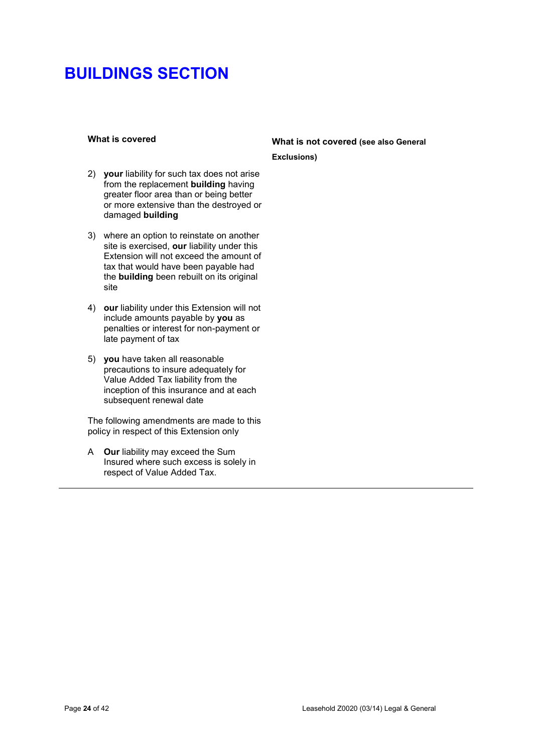- 2) **your** liability for such tax does not arise from the replacement **building** having greater floor area than or being better or more extensive than the destroyed or damaged **building**
- 3) where an option to reinstate on another site is exercised, **our** liability under this Extension will not exceed the amount of tax that would have been payable had the **building** been rebuilt on its original site
- 4) **our** liability under this Extension will not include amounts payable by **you** as penalties or interest for non-payment or late payment of tax
- 5) **you** have taken all reasonable precautions to insure adequately for Value Added Tax liability from the inception of this insurance and at each subsequent renewal date

The following amendments are made to this policy in respect of this Extension only

A **Our** liability may exceed the Sum Insured where such excess is solely in respect of Value Added Tax.

# **What is covered What is not covered (see also General Exclusions)**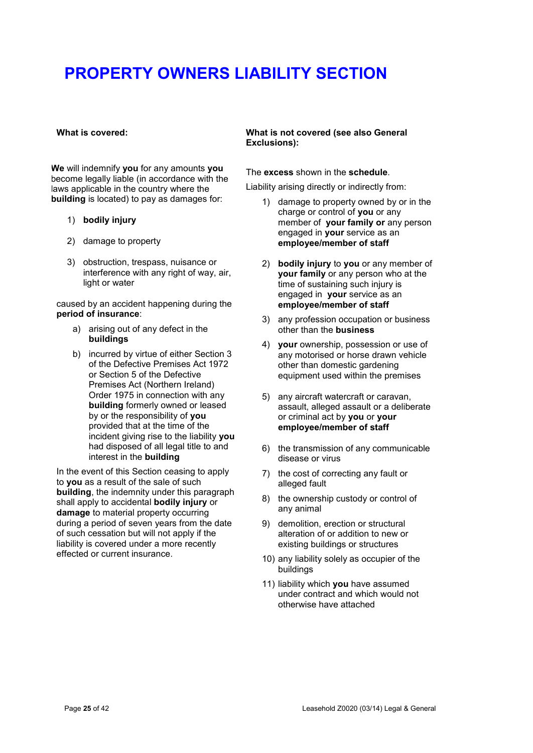### **What is covered:**

**We** will indemnify **you** for any amounts **you** become legally liable (in accordance with the laws applicable in the country where the **building** is located) to pay as damages for:

- 1) **bodily injury**
- 2) damage to property
- 3) obstruction, trespass, nuisance or interference with any right of way, air, light or water

caused by an accident happening during the **period of insurance**:

- a) arising out of any defect in the **buildings**
- b) incurred by virtue of either Section 3 of the Defective Premises Act 1972 or Section 5 of the Defective Premises Act (Northern Ireland) Order 1975 in connection with any **building** formerly owned or leased by or the responsibility of **you** provided that at the time of the incident giving rise to the liability **you** had disposed of all legal title to and interest in the **building**

In the event of this Section ceasing to apply to **you** as a result of the sale of such **building**, the indemnity under this paragraph shall apply to accidental **bodily injury** or **damage** to material property occurring during a period of seven years from the date of such cessation but will not apply if the liability is covered under a more recently effected or current insurance.

## **What is not covered (see also General Exclusions):**

The **excess** shown in the **schedule**.

Liability arising directly or indirectly from:

- 1) damage to property owned by or in the charge or control of **you** or any member of **your family or** any person engaged in **your** service as an **employee/member of staff**
- 2) **bodily injury** to **you** or any member of **your family** or any person who at the time of sustaining such injury is engaged in **your** service as an **employee/member of staff**
- 3) any profession occupation or business other than the **business**
- 4) **your** ownership, possession or use of any motorised or horse drawn vehicle other than domestic gardening equipment used within the premises
- 5) any aircraft watercraft or caravan, assault, alleged assault or a deliberate or criminal act by **you** or **your employee/member of staff**
- 6) the transmission of any communicable disease or virus
- 7) the cost of correcting any fault or alleged fault
- 8) the ownership custody or control of any animal
- 9) demolition, erection or structural alteration of or addition to new or existing buildings or structures
- 10) any liability solely as occupier of the buildings
- 11) liability which **you** have assumed under contract and which would not otherwise have attached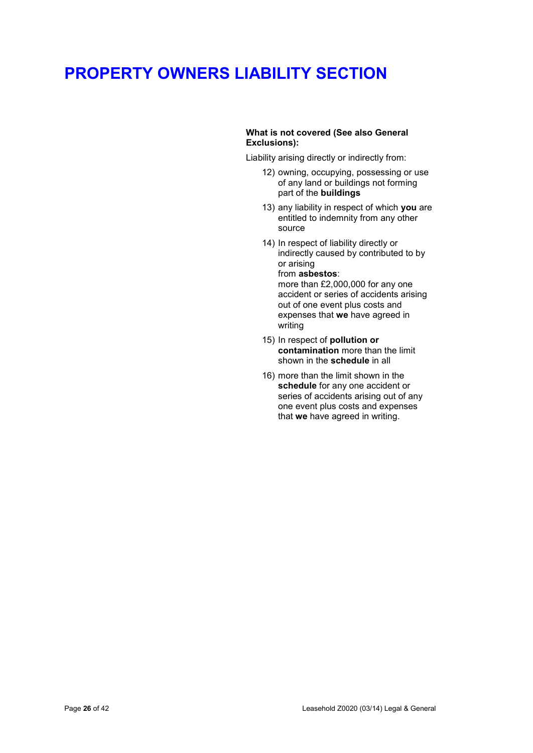## **What is not covered (See also General Exclusions):**

Liability arising directly or indirectly from:

- 12) owning, occupying, possessing or use of any land or buildings not forming part of the **buildings**
- 13) any liability in respect of which **you** are entitled to indemnity from any other source
- 14) In respect of liability directly or indirectly caused by contributed to by or arising from **asbestos**: more than £2,000,000 for any one accident or series of accidents arising out of one event plus costs and expenses that **we** have agreed in writing
- 15) In respect of **pollution or contamination** more than the limit shown in the **schedule** in all
- 16) more than the limit shown in the **schedule** for any one accident or series of accidents arising out of any one event plus costs and expenses that **we** have agreed in writing.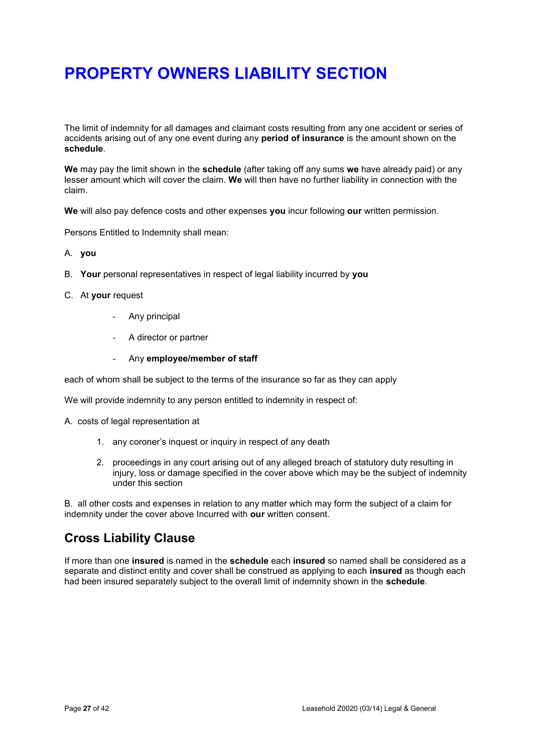The limit of indemnity for all damages and claimant costs resulting from any one accident or series of accidents arising out of any one event during any **period of insurance** is the amount shown on the **schedule**.

**We** may pay the limit shown in the **schedule** (after taking off any sums **we** have already paid) or any lesser amount which will cover the claim. **We** will then have no further liability in connection with the claim.

**We** will also pay defence costs and other expenses **you** incur following **our** written permission.

Persons Entitled to Indemnity shall mean:

- A. **you**
- B. **Your** personal representatives in respect of legal liability incurred by **you**
- C. At **your** request
	- Any principal
	- A director or partner
	- Any **employee/member of staff**

each of whom shall be subject to the terms of the insurance so far as they can apply

We will provide indemnity to any person entitled to indemnity in respect of:

- A. costs of legal representation at
	- 1. any coroner's inquest or inquiry in respect of any death
	- 2. proceedings in any court arising out of any alleged breach of statutory duty resulting in injury, loss or damage specified in the cover above which may be the subject of indemnity under this section

B. all other costs and expenses in relation to any matter which may form the subject of a claim for indemnity under the cover above Incurred with **our** written consent.

# **Cross Liability Clause**

If more than one **insured** is named in the **schedule** each **insured** so named shall be considered as a separate and distinct entity and cover shall be construed as applying to each **insured** as though each had been insured separately subject to the overall limit of indemnity shown in the **schedule**.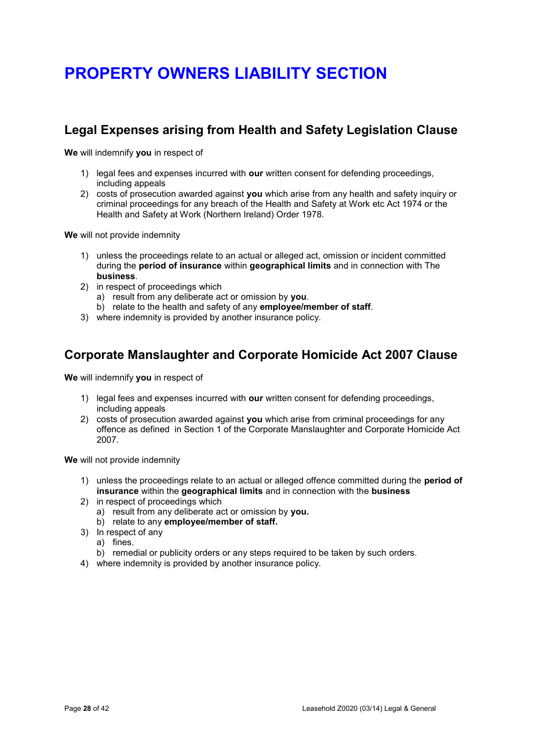# **Legal Expenses arising from Health and Safety Legislation Clause**

**We** will indemnify **you** in respect of

- 1) legal fees and expenses incurred with **our** written consent for defending proceedings, including appeals
- 2) costs of prosecution awarded against **you** which arise from any health and safety inquiry or criminal proceedings for any breach of the Health and Safety at Work etc Act 1974 or the Health and Safety at Work (Northern Ireland) Order 1978.

**We** will not provide indemnity

- 1) unless the proceedings relate to an actual or alleged act, omission or incident committed during the **period of insurance** within **geographical limits** and in connection with The **business**.
- 2) in respect of proceedings which
	- a) result from any deliberate act or omission by **you**.
	- b) relate to the health and safety of any **employee/member of staff**.
- 3) where indemnity is provided by another insurance policy.

# **Corporate Manslaughter and Corporate Homicide Act 2007 Clause**

**We** will indemnify **you** in respect of

- 1) legal fees and expenses incurred with **our** written consent for defending proceedings, including appeals
- 2) costs of prosecution awarded against **you** which arise from criminal proceedings for any offence as defined in Section 1 of the Corporate Manslaughter and Corporate Homicide Act 2007.

**We** will not provide indemnity

- 1) unless the proceedings relate to an actual or alleged offence committed during the **period of insurance** within the **geographical limits** and in connection with the **business**
- 2) in respect of proceedings which
	- a) result from any deliberate act or omission by **you.**
	- b) relate to any **employee/member of staff.**
- 3) In respect of any
	- a) fines.
	- b) remedial or publicity orders or any steps required to be taken by such orders.
- 4) where indemnity is provided by another insurance policy.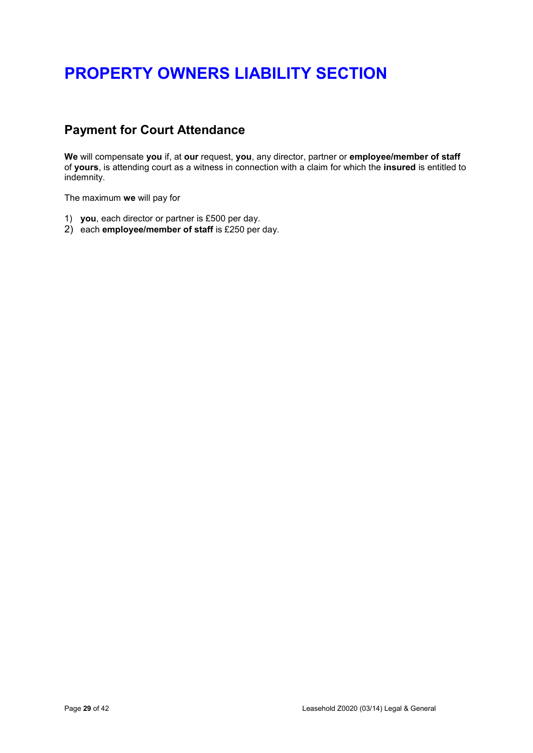# **Payment for Court Attendance**

**We** will compensate **you** if, at **our** request, **you**, any director, partner or **employee/member of staff** of **yours**, is attending court as a witness in connection with a claim for which the **insured** is entitled to indemnity.

The maximum **we** will pay for

- 1) **you**, each director or partner is £500 per day.
- 2) each **employee/member of staff** is £250 per day.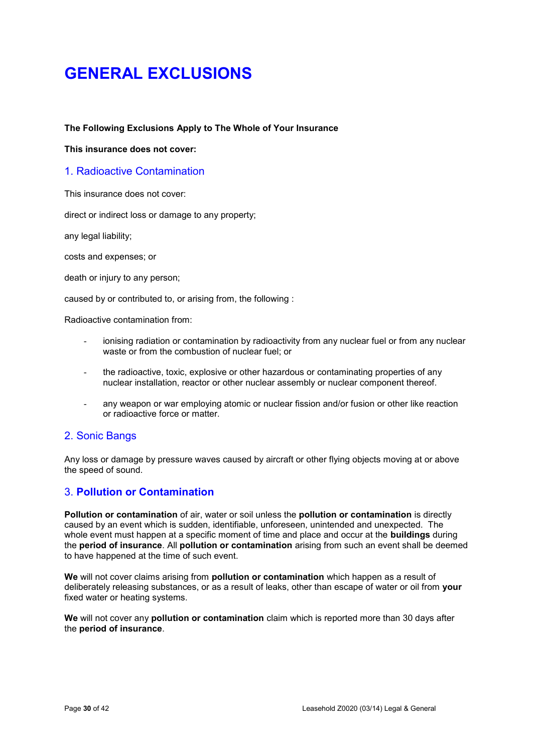# **GENERAL EXCLUSIONS**

## **The Following Exclusions Apply to The Whole of Your Insurance**

**This insurance does not cover:** 

## 1. Radioactive Contamination

This insurance does not cover:

direct or indirect loss or damage to any property;

any legal liability;

costs and expenses; or

death or injury to any person;

caused by or contributed to, or arising from, the following :

Radioactive contamination from:

- ionising radiation or contamination by radioactivity from any nuclear fuel or from any nuclear waste or from the combustion of nuclear fuel; or
- the radioactive, toxic, explosive or other hazardous or contaminating properties of any nuclear installation, reactor or other nuclear assembly or nuclear component thereof.
- any weapon or war employing atomic or nuclear fission and/or fusion or other like reaction or radioactive force or matter.

## 2. Sonic Bangs

Any loss or damage by pressure waves caused by aircraft or other flying objects moving at or above the speed of sound.

## 3. **Pollution or Contamination**

**Pollution or contamination** of air, water or soil unless the **pollution or contamination** is directly caused by an event which is sudden, identifiable, unforeseen, unintended and unexpected. The whole event must happen at a specific moment of time and place and occur at the **buildings** during the **period of insurance**. All **pollution or contamination** arising from such an event shall be deemed to have happened at the time of such event.

**We** will not cover claims arising from **pollution or contamination** which happen as a result of deliberately releasing substances, or as a result of leaks, other than escape of water or oil from **your** fixed water or heating systems.

**We** will not cover any **pollution or contamination** claim which is reported more than 30 days after the **period of insurance**.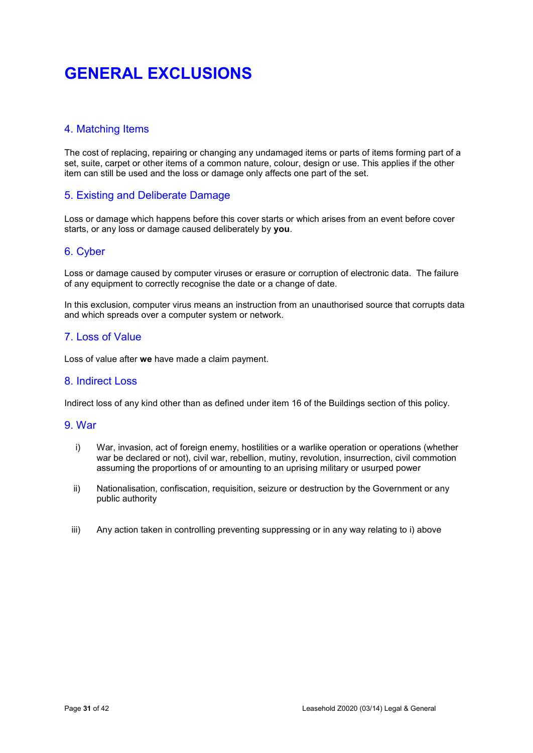# **GENERAL EXCLUSIONS**

# 4. Matching Items

The cost of replacing, repairing or changing any undamaged items or parts of items forming part of a set, suite, carpet or other items of a common nature, colour, design or use. This applies if the other item can still be used and the loss or damage only affects one part of the set.

## 5. Existing and Deliberate Damage

Loss or damage which happens before this cover starts or which arises from an event before cover starts, or any loss or damage caused deliberately by **you**.

## 6. Cyber

Loss or damage caused by computer viruses or erasure or corruption of electronic data. The failure of any equipment to correctly recognise the date or a change of date.

In this exclusion, computer virus means an instruction from an unauthorised source that corrupts data and which spreads over a computer system or network.

## 7. Loss of Value

Loss of value after **we** have made a claim payment.

## 8. Indirect Loss

Indirect loss of any kind other than as defined under item 16 of the Buildings section of this policy.

## 9. War

- i) War, invasion, act of foreign enemy, hostilities or a warlike operation or operations (whether war be declared or not), civil war, rebellion, mutiny, revolution, insurrection, civil commotion assuming the proportions of or amounting to an uprising military or usurped power
- ii) Nationalisation, confiscation, requisition, seizure or destruction by the Government or any public authority
- iii) Any action taken in controlling preventing suppressing or in any way relating to i) above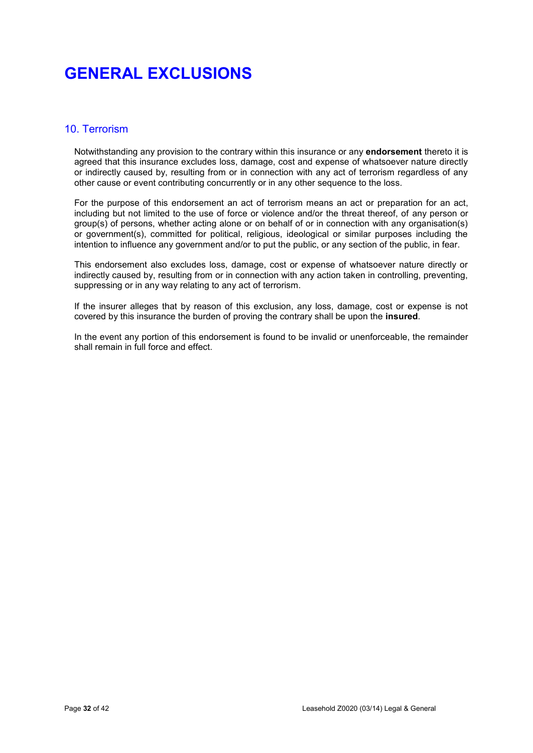# **GENERAL EXCLUSIONS**

## 10. Terrorism

Notwithstanding any provision to the contrary within this insurance or any **endorsement** thereto it is agreed that this insurance excludes loss, damage, cost and expense of whatsoever nature directly or indirectly caused by, resulting from or in connection with any act of terrorism regardless of any other cause or event contributing concurrently or in any other sequence to the loss.

For the purpose of this endorsement an act of terrorism means an act or preparation for an act, including but not limited to the use of force or violence and/or the threat thereof, of any person or group(s) of persons, whether acting alone or on behalf of or in connection with any organisation(s) or government(s), committed for political, religious, ideological or similar purposes including the intention to influence any government and/or to put the public, or any section of the public, in fear.

This endorsement also excludes loss, damage, cost or expense of whatsoever nature directly or indirectly caused by, resulting from or in connection with any action taken in controlling, preventing, suppressing or in any way relating to any act of terrorism.

If the insurer alleges that by reason of this exclusion, any loss, damage, cost or expense is not covered by this insurance the burden of proving the contrary shall be upon the **insured**.

In the event any portion of this endorsement is found to be invalid or unenforceable, the remainder shall remain in full force and effect.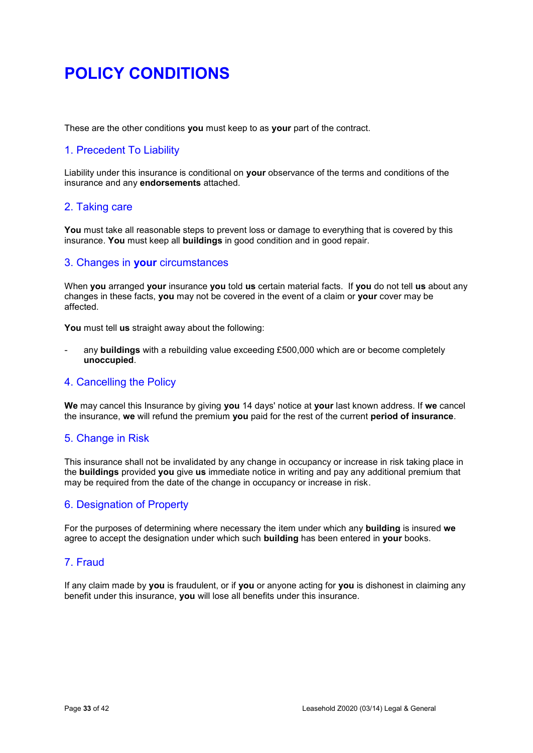# **POLICY CONDITIONS**

These are the other conditions **you** must keep to as **your** part of the contract.

# 1. Precedent To Liability

Liability under this insurance is conditional on **your** observance of the terms and conditions of the insurance and any **endorsements** attached.

## 2. Taking care

You must take all reasonable steps to prevent loss or damage to everything that is covered by this insurance. **You** must keep all **buildings** in good condition and in good repair.

## 3. Changes in **your** circumstances

When **you** arranged **your** insurance **you** told **us** certain material facts. If **you** do not tell **us** about any changes in these facts, **you** may not be covered in the event of a claim or **your** cover may be affected.

**You** must tell **us** straight away about the following:

- any **buildings** with a rebuilding value exceeding £500,000 which are or become completely **unoccupied**.

## 4. Cancelling the Policy

**We** may cancel this Insurance by giving **you** 14 days' notice at **your** last known address. If **we** cancel the insurance, **we** will refund the premium **you** paid for the rest of the current **period of insurance**.

# 5. Change in Risk

This insurance shall not be invalidated by any change in occupancy or increase in risk taking place in the **buildings** provided **you** give **us** immediate notice in writing and pay any additional premium that may be required from the date of the change in occupancy or increase in risk.

## 6. Designation of Property

For the purposes of determining where necessary the item under which any **building** is insured **we** agree to accept the designation under which such **building** has been entered in **your** books.

## 7. Fraud

If any claim made by **you** is fraudulent, or if **you** or anyone acting for **you** is dishonest in claiming any benefit under this insurance, **you** will lose all benefits under this insurance.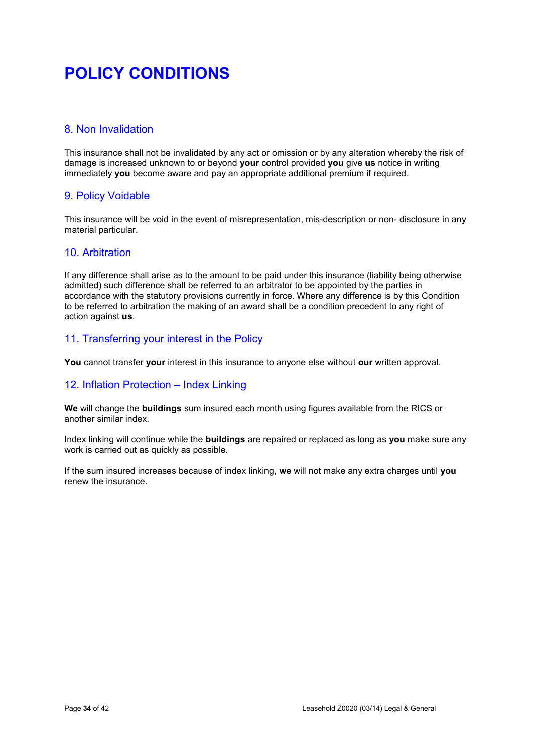# **POLICY CONDITIONS**

# 8. Non Invalidation

This insurance shall not be invalidated by any act or omission or by any alteration whereby the risk of damage is increased unknown to or beyond **your** control provided **you** give **us** notice in writing immediately **you** become aware and pay an appropriate additional premium if required.

# 9. Policy Voidable

This insurance will be void in the event of misrepresentation, mis-description or non- disclosure in any material particular.

## 10. Arbitration

If any difference shall arise as to the amount to be paid under this insurance (liability being otherwise admitted) such difference shall be referred to an arbitrator to be appointed by the parties in accordance with the statutory provisions currently in force. Where any difference is by this Condition to be referred to arbitration the making of an award shall be a condition precedent to any right of action against **us**.

# 11. Transferring your interest in the Policy

**You** cannot transfer **your** interest in this insurance to anyone else without **our** written approval.

## 12. Inflation Protection – Index Linking

**We** will change the **buildings** sum insured each month using figures available from the RICS or another similar index.

Index linking will continue while the **buildings** are repaired or replaced as long as **you** make sure any work is carried out as quickly as possible.

If the sum insured increases because of index linking, **we** will not make any extra charges until **you** renew the insurance.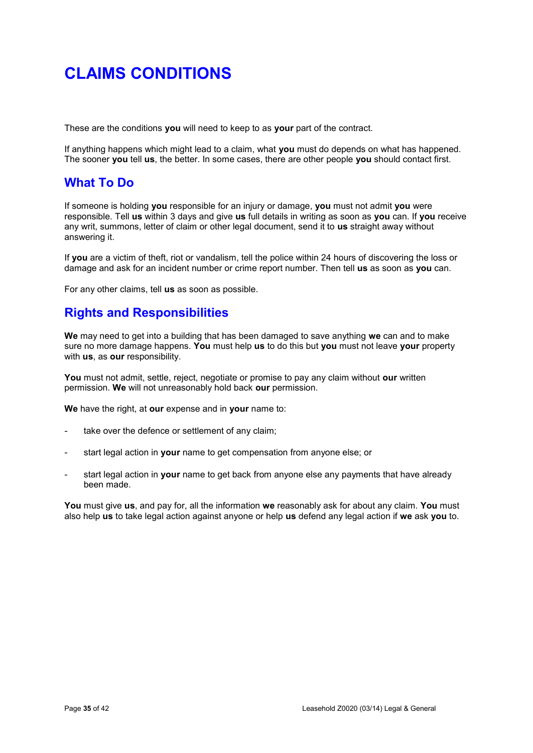These are the conditions **you** will need to keep to as **your** part of the contract.

If anything happens which might lead to a claim, what **you** must do depends on what has happened. The sooner **you** tell **us**, the better. In some cases, there are other people **you** should contact first.

# **What To Do**

If someone is holding **you** responsible for an injury or damage, **you** must not admit **you** were responsible. Tell **us** within 3 days and give **us** full details in writing as soon as **you** can. If **you** receive any writ, summons, letter of claim or other legal document, send it to **us** straight away without answering it.

If **you** are a victim of theft, riot or vandalism, tell the police within 24 hours of discovering the loss or damage and ask for an incident number or crime report number. Then tell **us** as soon as **you** can.

For any other claims, tell **us** as soon as possible.

# **Rights and Responsibilities**

**We** may need to get into a building that has been damaged to save anything **we** can and to make sure no more damage happens. **You** must help **us** to do this but **you** must not leave **your** property with **us**, as **our** responsibility.

**You** must not admit, settle, reject, negotiate or promise to pay any claim without **our** written permission. **We** will not unreasonably hold back **our** permission.

**We** have the right, at **our** expense and in **your** name to:

- take over the defence or settlement of any claim;
- start legal action in **your** name to get compensation from anyone else; or
- start legal action in **your** name to get back from anyone else any payments that have already been made.

**You** must give **us**, and pay for, all the information **we** reasonably ask for about any claim. **You** must also help **us** to take legal action against anyone or help **us** defend any legal action if **we** ask **you** to.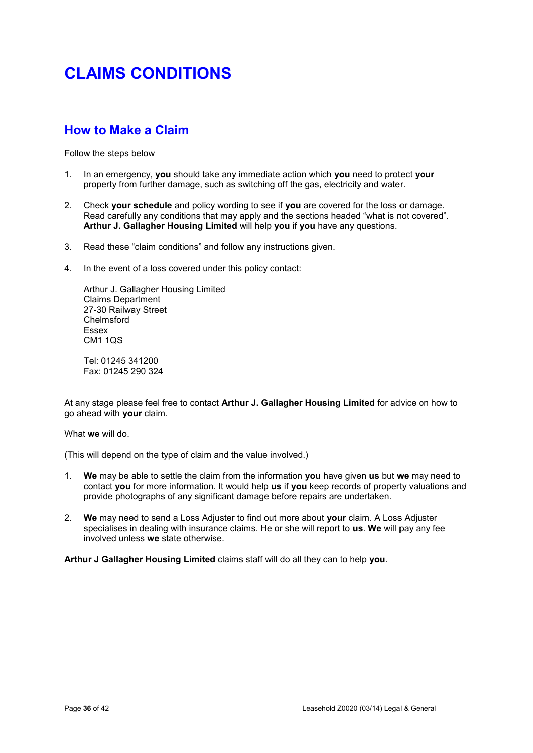# **How to Make a Claim**

Follow the steps below

- 1. In an emergency, **you** should take any immediate action which **you** need to protect **your** property from further damage, such as switching off the gas, electricity and water.
- 2. Check **your schedule** and policy wording to see if **you** are covered for the loss or damage. Read carefully any conditions that may apply and the sections headed "what is not covered". **Arthur J. Gallagher Housing Limited** will help **you** if **you** have any questions.
- 3. Read these "claim conditions" and follow any instructions given.
- 4. In the event of a loss covered under this policy contact:

Arthur J. Gallagher Housing Limited Claims Department 27-30 Railway Street Chelmsford Essex CM1 1QS

Tel: 01245 341200 Fax: 01245 290 324

At any stage please feel free to contact **Arthur J. Gallagher Housing Limited** for advice on how to go ahead with **your** claim.

### What **we** will do.

(This will depend on the type of claim and the value involved.)

- 1. **We** may be able to settle the claim from the information **you** have given **us** but **we** may need to contact **you** for more information. It would help **us** if **you** keep records of property valuations and provide photographs of any significant damage before repairs are undertaken.
- 2. **We** may need to send a Loss Adjuster to find out more about **your** claim. A Loss Adjuster specialises in dealing with insurance claims. He or she will report to **us**. **We** will pay any fee involved unless **we** state otherwise.

**Arthur J Gallagher Housing Limited** claims staff will do all they can to help **you**.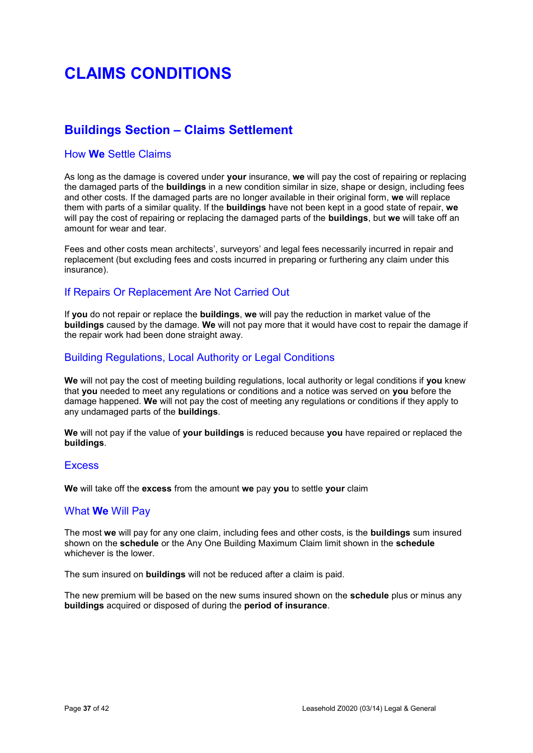# **Buildings Section – Claims Settlement**

## How **We** Settle Claims

As long as the damage is covered under **your** insurance, **we** will pay the cost of repairing or replacing the damaged parts of the **buildings** in a new condition similar in size, shape or design, including fees and other costs. If the damaged parts are no longer available in their original form, **we** will replace them with parts of a similar quality. If the **buildings** have not been kept in a good state of repair, **we** will pay the cost of repairing or replacing the damaged parts of the **buildings**, but **we** will take off an amount for wear and tear.

Fees and other costs mean architects', surveyors' and legal fees necessarily incurred in repair and replacement (but excluding fees and costs incurred in preparing or furthering any claim under this insurance).

## If Repairs Or Replacement Are Not Carried Out

If **you** do not repair or replace the **buildings**, **we** will pay the reduction in market value of the **buildings** caused by the damage. **We** will not pay more that it would have cost to repair the damage if the repair work had been done straight away.

## Building Regulations, Local Authority or Legal Conditions

**We** will not pay the cost of meeting building regulations, local authority or legal conditions if **you** knew that **you** needed to meet any regulations or conditions and a notice was served on **you** before the damage happened. **We** will not pay the cost of meeting any regulations or conditions if they apply to any undamaged parts of the **buildings**.

**We** will not pay if the value of **your buildings** is reduced because **you** have repaired or replaced the **buildings**.

## **Excess**

**We** will take off the **excess** from the amount **we** pay **you** to settle **your** claim

## What **We** Will Pay

The most **we** will pay for any one claim, including fees and other costs, is the **buildings** sum insured shown on the **schedule** or the Any One Building Maximum Claim limit shown in the **schedule** whichever is the lower.

The sum insured on **buildings** will not be reduced after a claim is paid.

The new premium will be based on the new sums insured shown on the **schedule** plus or minus any **buildings** acquired or disposed of during the **period of insurance**.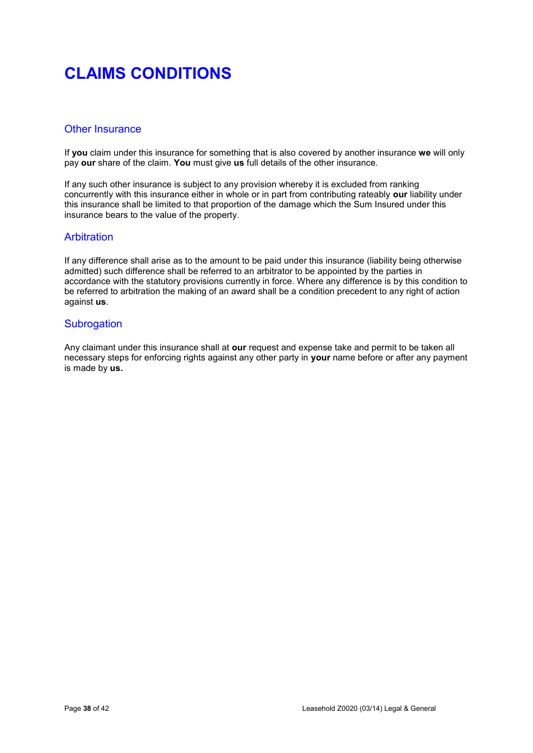## Other Insurance

If **you** claim under this insurance for something that is also covered by another insurance **we** will only pay **our** share of the claim. **You** must give **us** full details of the other insurance.

If any such other insurance is subject to any provision whereby it is excluded from ranking concurrently with this insurance either in whole or in part from contributing rateably **our** liability under this insurance shall be limited to that proportion of the damage which the Sum Insured under this insurance bears to the value of the property.

## **Arbitration**

If any difference shall arise as to the amount to be paid under this insurance (liability being otherwise admitted) such difference shall be referred to an arbitrator to be appointed by the parties in accordance with the statutory provisions currently in force. Where any difference is by this condition to be referred to arbitration the making of an award shall be a condition precedent to any right of action against **us**.

## **Subrogation**

Any claimant under this insurance shall at **our** request and expense take and permit to be taken all necessary steps for enforcing rights against any other party in **your** name before or after any payment is made by **us.**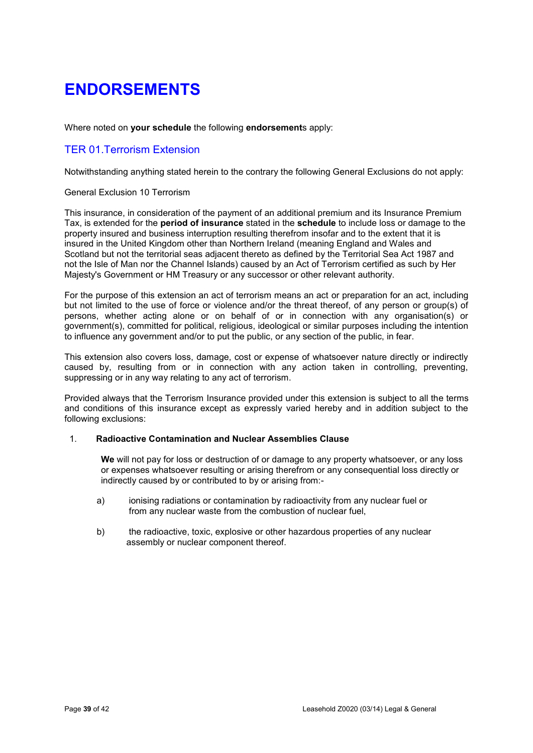Where noted on **your schedule** the following **endorsement**s apply:

# TER 01.Terrorism Extension

Notwithstanding anything stated herein to the contrary the following General Exclusions do not apply:

## General Exclusion 10 Terrorism

This insurance, in consideration of the payment of an additional premium and its Insurance Premium Tax, is extended for the **period of insurance** stated in the **schedule** to include loss or damage to the property insured and business interruption resulting therefrom insofar and to the extent that it is insured in the United Kingdom other than Northern Ireland (meaning England and Wales and Scotland but not the territorial seas adjacent thereto as defined by the Territorial Sea Act 1987 and not the Isle of Man nor the Channel Islands) caused by an Act of Terrorism certified as such by Her Majesty's Government or HM Treasury or any successor or other relevant authority.

For the purpose of this extension an act of terrorism means an act or preparation for an act, including but not limited to the use of force or violence and/or the threat thereof, of any person or group(s) of persons, whether acting alone or on behalf of or in connection with any organisation(s) or government(s), committed for political, religious, ideological or similar purposes including the intention to influence any government and/or to put the public, or any section of the public, in fear.

This extension also covers loss, damage, cost or expense of whatsoever nature directly or indirectly caused by, resulting from or in connection with any action taken in controlling, preventing, suppressing or in any way relating to any act of terrorism.

Provided always that the Terrorism Insurance provided under this extension is subject to all the terms and conditions of this insurance except as expressly varied hereby and in addition subject to the following exclusions:

## 1. **Radioactive Contamination and Nuclear Assemblies Clause**

**We** will not pay for loss or destruction of or damage to any property whatsoever, or any loss or expenses whatsoever resulting or arising therefrom or any consequential loss directly or indirectly caused by or contributed to by or arising from:-

- a) ionising radiations or contamination by radioactivity from any nuclear fuel or from any nuclear waste from the combustion of nuclear fuel,
- b) the radioactive, toxic, explosive or other hazardous properties of any nuclear assembly or nuclear component thereof.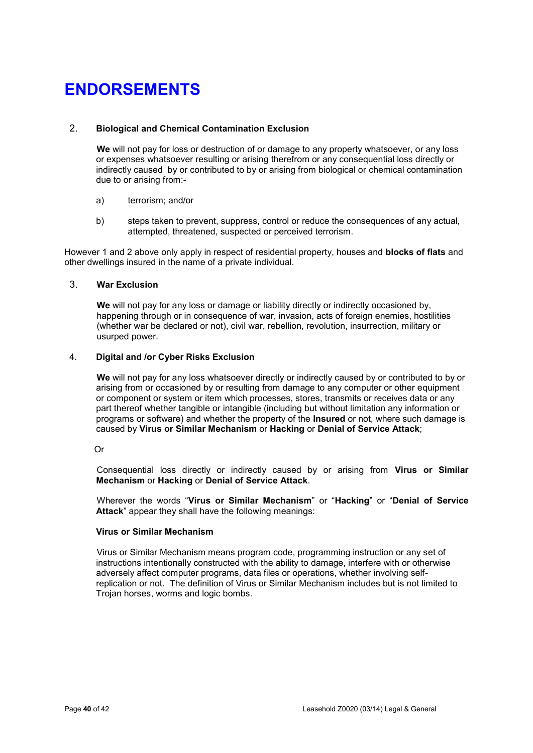## 2. **Biological and Chemical Contamination Exclusion**

**We** will not pay for loss or destruction of or damage to any property whatsoever, or any loss or expenses whatsoever resulting or arising therefrom or any consequential loss directly or indirectly caused by or contributed to by or arising from biological or chemical contamination due to or arising from:-

- a) terrorism; and/or
- b) steps taken to prevent, suppress, control or reduce the consequences of any actual, attempted, threatened, suspected or perceived terrorism.

However 1 and 2 above only apply in respect of residential property, houses and **blocks of flats** and other dwellings insured in the name of a private individual.

## 3. **War Exclusion**

**We** will not pay for any loss or damage or liability directly or indirectly occasioned by, happening through or in consequence of war, invasion, acts of foreign enemies, hostilities (whether war be declared or not), civil war, rebellion, revolution, insurrection, military or usurped power.

## 4. **Digital and /or Cyber Risks Exclusion**

**We** will not pay for any loss whatsoever directly or indirectly caused by or contributed to by or arising from or occasioned by or resulting from damage to any computer or other equipment or component or system or item which processes, stores, transmits or receives data or any part thereof whether tangible or intangible (including but without limitation any information or programs or software) and whether the property of the **Insured** or not, where such damage is caused by **Virus or Similar Mechanism** or **Hacking** or **Denial of Service Attack**;

### Or

 Consequential loss directly or indirectly caused by or arising from **Virus or Similar Mechanism** or **Hacking** or **Denial of Service Attack**.

 Wherever the words "**Virus or Similar Mechanism**" or "**Hacking**" or "**Denial of Service Attack**" appear they shall have the following meanings:

### **Virus or Similar Mechanism**

 Virus or Similar Mechanism means program code, programming instruction or any set of instructions intentionally constructed with the ability to damage, interfere with or otherwise adversely affect computer programs, data files or operations, whether involving selfreplication or not. The definition of Virus or Similar Mechanism includes but is not limited to Trojan horses, worms and logic bombs.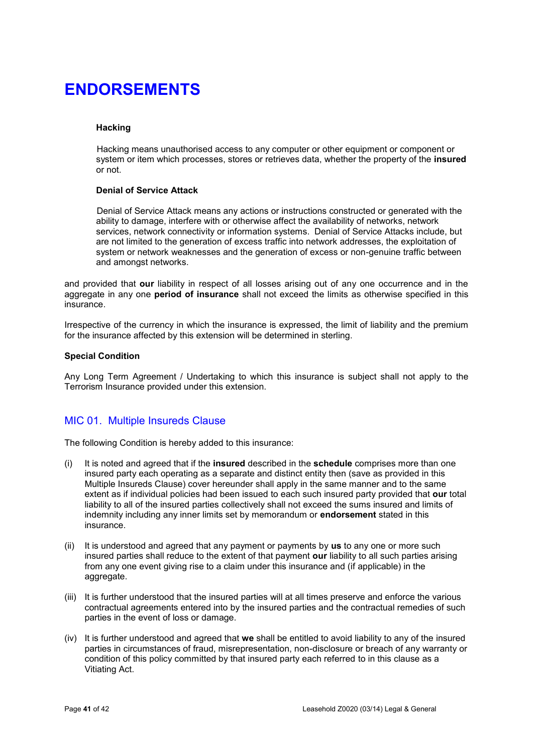## **Hacking**

Hacking means unauthorised access to any computer or other equipment or component or system or item which processes, stores or retrieves data, whether the property of the **insured**  or not.

### **Denial of Service Attack**

 Denial of Service Attack means any actions or instructions constructed or generated with the ability to damage, interfere with or otherwise affect the availability of networks, network services, network connectivity or information systems. Denial of Service Attacks include, but are not limited to the generation of excess traffic into network addresses, the exploitation of system or network weaknesses and the generation of excess or non-genuine traffic between and amongst networks.

and provided that **our** liability in respect of all losses arising out of any one occurrence and in the aggregate in any one **period of insurance** shall not exceed the limits as otherwise specified in this insurance.

Irrespective of the currency in which the insurance is expressed, the limit of liability and the premium for the insurance affected by this extension will be determined in sterling.

### **Special Condition**

Any Long Term Agreement / Undertaking to which this insurance is subject shall not apply to the Terrorism Insurance provided under this extension.

## MIC 01. Multiple Insureds Clause

The following Condition is hereby added to this insurance:

- (i) It is noted and agreed that if the **insured** described in the **schedule** comprises more than one insured party each operating as a separate and distinct entity then (save as provided in this Multiple Insureds Clause) cover hereunder shall apply in the same manner and to the same extent as if individual policies had been issued to each such insured party provided that **our** total liability to all of the insured parties collectively shall not exceed the sums insured and limits of indemnity including any inner limits set by memorandum or **endorsement** stated in this insurance.
- (ii) It is understood and agreed that any payment or payments by **us** to any one or more such insured parties shall reduce to the extent of that payment **our** liability to all such parties arising from any one event giving rise to a claim under this insurance and (if applicable) in the aggregate.
- (iii) It is further understood that the insured parties will at all times preserve and enforce the various contractual agreements entered into by the insured parties and the contractual remedies of such parties in the event of loss or damage.
- (iv) It is further understood and agreed that **we** shall be entitled to avoid liability to any of the insured parties in circumstances of fraud, misrepresentation, non-disclosure or breach of any warranty or condition of this policy committed by that insured party each referred to in this clause as a Vitiating Act.